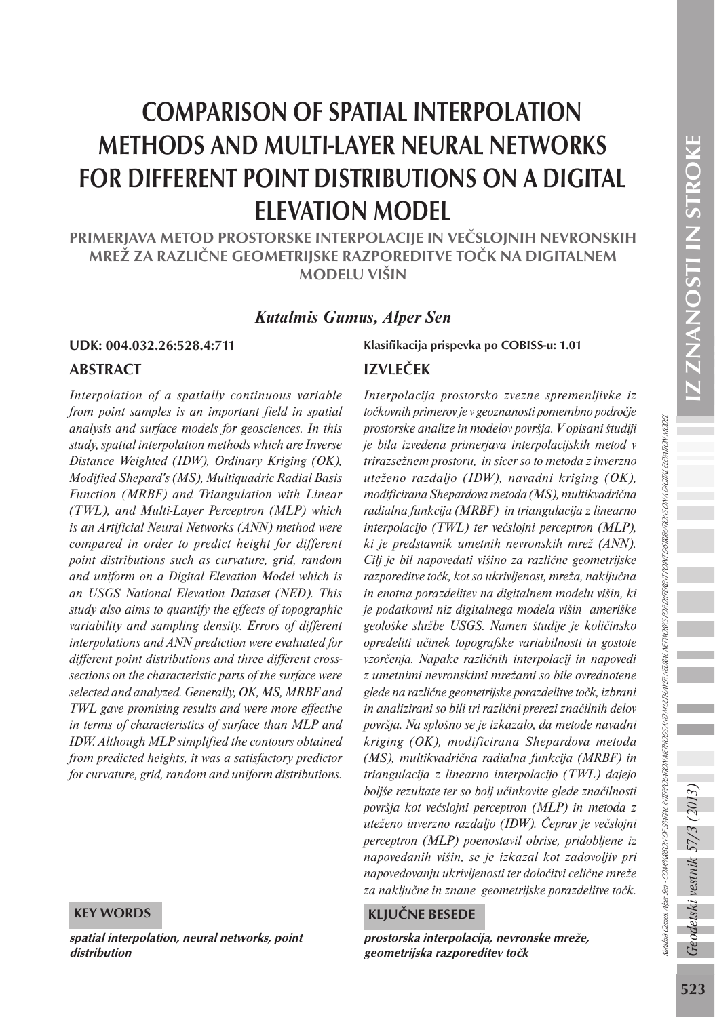Kutalmis Gamus, Alper Sen - COMPARISON OF SPATIAL INTERPOLATION METHODS AND MUTHAT METHORIS FOR DIFFERENT POINT DISTRIBUTIONS ON A DIGITAL ELEVATION MODEL

ladnis Gamas Alersen - COMPARION OFSPATU NTBPOLATON NETHOOS AND MUTTA NERU NETHORIS FOR DIFERENT PONT DISTRIBUTIONS ON A DETTU ELPATION NODEL

# COMPARISON OF SPATIAL INTERPOLATION METHODS AND MULTI-LAYER NEURAL NETWORKS FOR DIFFERENT POINT DISTRIBUTIONS ON A DIGITAL ELEVATION MODEL

PRIMERJAVA METOD PROSTORSKE INTERPOLACIJE IN VEČSLOJNIH NEVRONSKIH MREŽ ZA RAZLIČNE GEOMETRIJSKE RAZPOREDITVE TOČK NA DIGITALNEM MODELU VIŠIN

# *Kutalmis Gumus, Alper Sen*

#### ABSTRACT

*Interpolation of a spatially continuous variable from point samples is an important field in spatial analysis and surface models for geosciences. In this study, spatial interpolation methods which are Inverse Distance Weighted (IDW), Ordinary Kriging (OK), Modified Shepard's (MS), Multiquadric Radial Basis Function (MRBF) and Triangulation with Linear (TWL), and Multi-Layer Perceptron (MLP) which is an Artificial Neural Networks (ANN) method were compared in order to predict height for different point distributions such as curvature, grid, random and uniform on a Digital Elevation Model which is an USGS National Elevation Dataset (NED). This study also aims to quantify the effects of topographic variability and sampling density. Errors of different interpolations and ANN prediction were evaluated for different point distributions and three different crosssections on the characteristic parts of the surface were selected and analyzed. Generally, OK, MS, MRBF and TWL gave promising results and were more effective in terms of characteristics of surface than MLP and IDW. Although MLP simplified the contours obtained from predicted heights, it was a satisfactory predictor for curvature, grid, random and uniform distributions.*

#### KEY WORDS

spatial interpolation, neural networks, point distribution

# UDK: 004.032.26:528.4:711 Klasifikacija prispevka po COBISS-u: 1.01 IZVLEČEK

*Interpolacija prostorsko zvezne spremenljivke iz točkovnih primerov je v geoznanosti pomembno področje prostorske analize in modelov površja. V opisani študiji je bila izvedena primerjava interpolacijskih metod v trirazsežnem prostoru, in sicer so to metoda z inverzno uteženo razdaljo (IDW), navadni kriging (OK), modificirana Shepardova metoda (MS), multikvadrična radialna funkcija (MRBF) in triangulacija z linearno interpolacijo (TWL) ter večslojni perceptron (MLP), ki je predstavnik umetnih nevronskih mrež (ANN). Cilj je bil napovedati višino za različne geometrijske razporeditve točk, kot so ukrivljenost, mreža, naključna in enotna porazdelitev na digitalnem modelu višin, ki je podatkovni niz digitalnega modela višin ameriške geološke službe USGS. Namen študije je količinsko opredeliti učinek topografske variabilnosti in gostote vzorčenja. Napake različnih interpolacij in napovedi z umetnimi nevronskimi mrežami so bile ovrednotene glede na različne geometrijske porazdelitve točk, izbrani in analizirani so bili tri različni prerezi značilnih delov površja. Na splošno se je izkazalo, da metode navadni kriging (OK), modificirana Shepardova metoda (MS), multikvadrična radialna funkcija (MRBF) in triangulacija z linearno interpolacijo (TWL) dajejo boljše rezultate ter so bolj učinkovite glede značilnosti površja kot večslojni perceptron (MLP) in metoda z uteženo inverzno razdaljo (IDW). Čeprav je večslojni perceptron (MLP) poenostavil obrise, pridobljene iz napovedanih višin, se je izkazal kot zadovoljiv pri napovedovanju ukrivljenosti ter določitvi celične mreže za naključne in znane geometrijske porazdelitve točk.*

#### KLJUČNE BESEDE

prostorska interpolacija, nevronske mreže, geometrijska razporeditev točk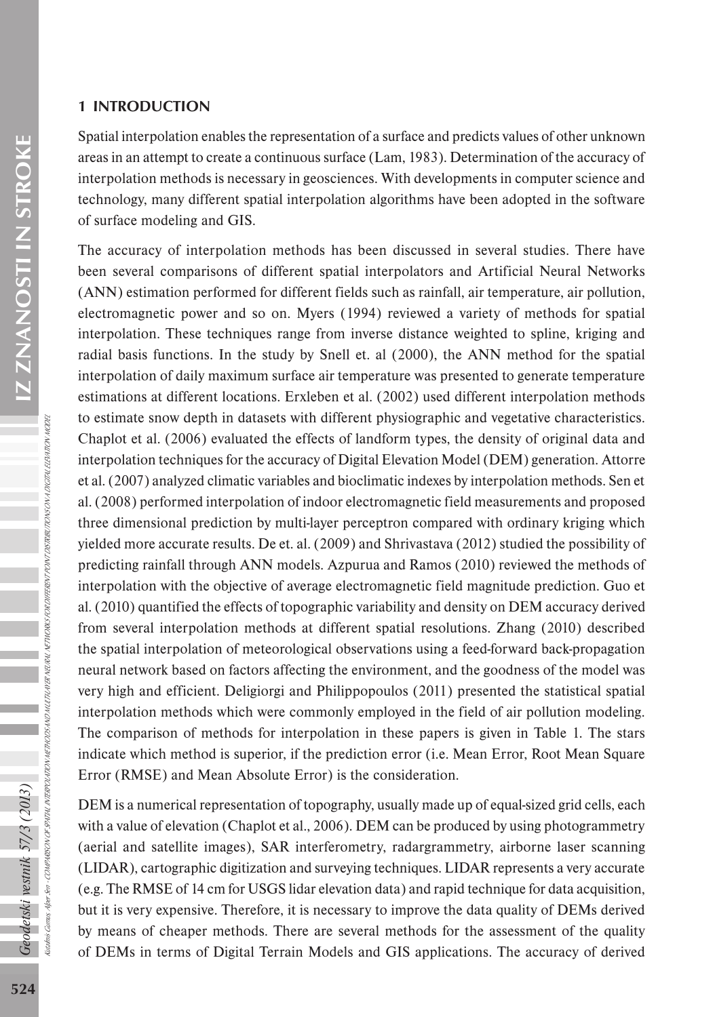# 1 INTRODUCTION

Spatial interpolation enables the representation of a surface and predicts values of other unknown areas in an attempt to create a continuous surface (Lam, 1983). Determination of the accuracy of interpolation methods is necessary in geosciences. With developments in computer science and technology, many different spatial interpolation algorithms have been adopted in the software of surface modeling and GIS.

The accuracy of interpolation methods has been discussed in several studies. There have been several comparisons of different spatial interpolators and Artificial Neural Networks (ANN) estimation performed for different fields such as rainfall, air temperature, air pollution, electromagnetic power and so on. Myers (1994) reviewed a variety of methods for spatial interpolation. These techniques range from inverse distance weighted to spline, kriging and radial basis functions. In the study by Snell et. al (2000), the ANN method for the spatial interpolation of daily maximum surface air temperature was presented to generate temperature estimations at different locations. Erxleben et al. (2002) used different interpolation methods to estimate snow depth in datasets with different physiographic and vegetative characteristics. Chaplot et al. (2006) evaluated the effects of landform types, the density of original data and interpolation techniques for the accuracy of Digital Elevation Model (DEM) generation. Attorre et al. (2007) analyzed climatic variables and bioclimatic indexes by interpolation methods. Sen et al. (2008) performed interpolation of indoor electromagnetic field measurements and proposed three dimensional prediction by multi-layer perceptron compared with ordinary kriging which yielded more accurate results. De et. al. (2009) and Shrivastava (2012) studied the possibility of predicting rainfall through ANN models. Azpurua and Ramos (2010) reviewed the methods of interpolation with the objective of average electromagnetic field magnitude prediction. Guo et al. (2010) quantified the effects of topographic variability and density on DEM accuracy derived from several interpolation methods at different spatial resolutions. Zhang (2010) described the spatial interpolation of meteorological observations using a feed-forward back-propagation neural network based on factors affecting the environment, and the goodness of the model was very high and efficient. Deligiorgi and Philippopoulos (2011) presented the statistical spatial interpolation methods which were commonly employed in the field of air pollution modeling. The comparison of methods for interpolation in these papers is given in Table 1. The stars indicate which method is superior, if the prediction error (i.e. Mean Error, Root Mean Square Error (RMSE) and Mean Absolute Error) is the consideration.

DEM is a numerical representation of topography, usually made up of equal-sized grid cells, each with a value of elevation (Chaplot et al., 2006). DEM can be produced by using photogrammetry (aerial and satellite images), SAR interferometry, radargrammetry, airborne laser scanning (LIDAR), cartographic digitization and surveying techniques. LIDAR represents a very accurate (e.g. The RMSE of 14 cm for USGS lidar elevation data) and rapid technique for data acquisition, but it is very expensive. Therefore, it is necessary to improve the data quality of DEMs derived by means of cheaper methods. There are several methods for the assessment of the quality of DEMs in terms of Digital Terrain Models and GIS applications. The accuracy of derived

Kutalmis Gumus, Alper Sen - COMPARISON OF SPATIAL INTERPOLATION METHODS AND MULTI-LAYER NETWORKS FOR DIFFERENT PONT DISTRIBUTIONS ON A DIGITAL ELEVATION NODEL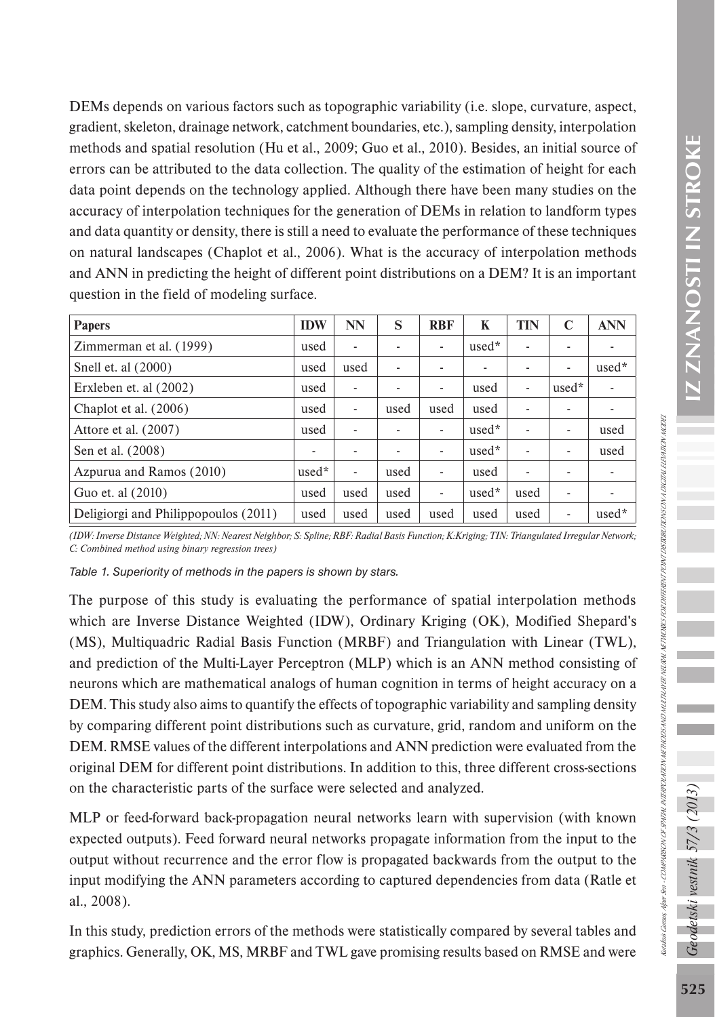DEMs depends on various factors such as topographic variability (i.e. slope, curvature, aspect, gradient, skeleton, drainage network, catchment boundaries, etc.), sampling density, interpolation methods and spatial resolution (Hu et al., 2009; Guo et al., 2010). Besides, an initial source of errors can be attributed to the data collection. The quality of the estimation of height for each data point depends on the technology applied. Although there have been many studies on the accuracy of interpolation techniques for the generation of DEMs in relation to landform types and data quantity or density, there is still a need to evaluate the performance of these techniques on natural landscapes (Chaplot et al., 2006). What is the accuracy of interpolation methods and ANN in predicting the height of different point distributions on a DEM? It is an important question in the field of modeling surface.

| <b>Papers</b>                        | <b>IDW</b> | NN                       | S    | <b>RBF</b> | K     | TIN  | C     | <b>ANN</b>               |
|--------------------------------------|------------|--------------------------|------|------------|-------|------|-------|--------------------------|
| Zimmerman et al. (1999)<br>used      |            | ٠                        | ٠    | ٠          | used* | ٠    | ٠     | ٠                        |
| Snell et. al (2000)                  | used       | used                     | ٠    | ٠          | ٠     | ٠    | ٠     | used*                    |
| Erxleben et. al (2002)               | used       | $\overline{\phantom{a}}$ | ٠    | ٠          | used  | ۰    | used* | ۰                        |
| Chaplot et al. $(2006)$              | used       | $\overline{\phantom{a}}$ | used | used       | used  | ٠    | ٠     | ۰                        |
| Attore et al. (2007)                 | used       | ۰                        | ٠    | ٠          | used* | ٠    | ٠     | used                     |
| Sen et al. (2008)                    | ٠          |                          | ۰    | ٠          | used* | ٠    | ٠     | used                     |
| Azpurua and Ramos (2010)             | used*      | $\blacksquare$           | used | ٠          | used  | ۰    | ۰     | ٠                        |
| Guo et. al (2010)                    | used       | used                     | used | ٠          | used* | used | ٠     | $\overline{\phantom{a}}$ |
| Deligiorgi and Philippopoulos (2011) | used       | used                     | used | used       | used  | used | ٠     | used*                    |

*(IDW: Inverse Distance Weighted; NN: Nearest Neighbor; S: Spline; RBF: Radial Basis Function; K:Kriging; TIN: Triangulated Irregular Network; C: Combined method using binary regression trees)*

*Table 1. Superiority of methods in the papers is shown by stars.*

The purpose of this study is evaluating the performance of spatial interpolation methods which are Inverse Distance Weighted (IDW), Ordinary Kriging (OK), Modified Shepard's (MS), Multiquadric Radial Basis Function (MRBF) and Triangulation with Linear (TWL), and prediction of the Multi-Layer Perceptron (MLP) which is an ANN method consisting of neurons which are mathematical analogs of human cognition in terms of height accuracy on a DEM. This study also aims to quantify the effects of topographic variability and sampling density by comparing different point distributions such as curvature, grid, random and uniform on the DEM. RMSE values of the different interpolations and ANN prediction were evaluated from the original DEM for different point distributions. In addition to this, three different cross-sections on the characteristic parts of the surface were selected and analyzed.

MLP or feed-forward back-propagation neural networks learn with supervision (with known expected outputs). Feed forward neural networks propagate information from the input to the output without recurrence and the error flow is propagated backwards from the output to the input modifying the ANN parameters according to captured dependencies from data (Ratle et al., 2008).

In this study, prediction errors of the methods were statistically compared by several tables and graphics. Generally, OK, MS, MRBF and TWL gave promising results based on RMSE and were Kutalmis Gumus, Alper Sen - COMPARISON OF SPATIAL INTERPOLATION METHODS AND MULTI-LAYER NETWORKS FOR DIFFERENT PONT DISTRIBUTIONS ON A DIGITAL ELEVATION NODEL

laahais Qamas, Aleer See + COMPARISON OFSPATIAL NTERPOLATION METHOLES NE MAXIFAN NETWORKS FOR ORFERENT POINT OSTRIRI TRONGOTAL ELEVA TAO MODEL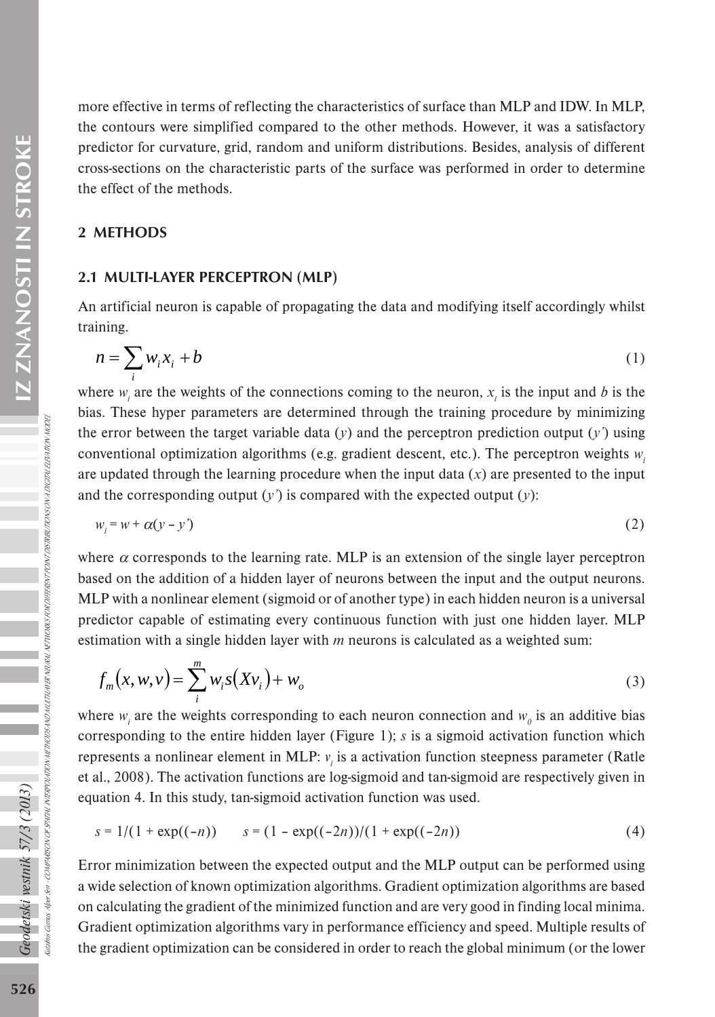Z ZNANOSTI IN STROKE 526*Geodetski vestnik 57/3 (2013)* IZ ZNANOSTI IN STROKE more effective in terms of reflecting the characteristics of surface than MLP and IDW. In MLP, the contours were simplified compared to the other methods. However, it was a satisfactory predictor for curvature, grid, random and uniform distributions. Besides, analysis of different cross-sections on the characteristic parts of the surface was performed in order to determine the effect of the methods.

### 2 METHODS

### 2.1 MULTI-LAYER PERCEPTRON (MLP)

An artificial neuron is capable of propagating the data and modifying itself accordingly whilst training.

$$
n = \sum_{i} w_i x_i + b \tag{1}
$$

where  $w_i$  are the weights of the connections coming to the neuron,  $x_i$  is the input and *b* is the bias. These hyper parameters are determined through the training procedure by minimizing the error between the target variable data (*y*) and the perceptron prediction output (*y'*) using conventional optimization algorithms (e.g. gradient descent, etc.). The perceptron weights  $w_i$ are updated through the learning procedure when the input data (*x*) are presented to the input and the corresponding output  $(y')$  is compared with the expected output  $(y)$ :

$$
w_i = w + \alpha (y - y') \tag{2}
$$

where  $\alpha$  corresponds to the learning rate. MLP is an extension of the single layer perceptron based on the addition of a hidden layer of neurons between the input and the output neurons. MLP with a nonlinear element (sigmoid or of another type) in each hidden neuron is a universal predictor capable of estimating every continuous function with just one hidden layer. MLP estimation with a single hidden layer with *m* neurons is calculated as a weighted sum:

$$
f_m(x, w, v) = \sum_{i}^{m} w_i s(Xv_i) + w_o
$$
 (3)

where  $w_i$  are the weights corresponding to each neuron connection and  $w_0$  is an additive bias corresponding to the entire hidden layer (Figure 1); *s* is a sigmoid activation function which represents a nonlinear element in MLP: *v<sub>i</sub>* is a activation function steepness parameter (Ratle et al., 2008). The activation functions are log-sigmoid and tan-sigmoid are respectively given in equation 4. In this study, tan-sigmoid activation function was used.

$$
s = 1/(1 + \exp((-n))) \qquad s = (1 - \exp((-2n))/(1 + \exp((-2n))) \qquad (4)
$$

Error minimization between the expected output and the MLP output can be performed using a wide selection of known optimization algorithms. Gradient optimization algorithms are based on calculating the gradient of the minimized function and are very good in finding local minima. Gradient optimization algorithms vary in performance efficiency and speed. Multiple results of the gradient optimization can be considered in order to reach the global minimum (or the lower

Geodetski vestnik 57/3 (2013)

Kutalmis Gumus, Alper Sen - COMPARISON OF SPATIAL INTERPOLATION METHODS AND MULTI-LAYER NETWORKS FOR DIFFERENT PONT DISTRIBUTIONS ON A DIGITAL ELEVATION NODEL

INTERPOLATION METHODS AND MULTILAVER NEURAL NETWORKS FOR DIFFERENT PONT DISTRIBUTIONS ON A DISTIFUL ELPATION MODE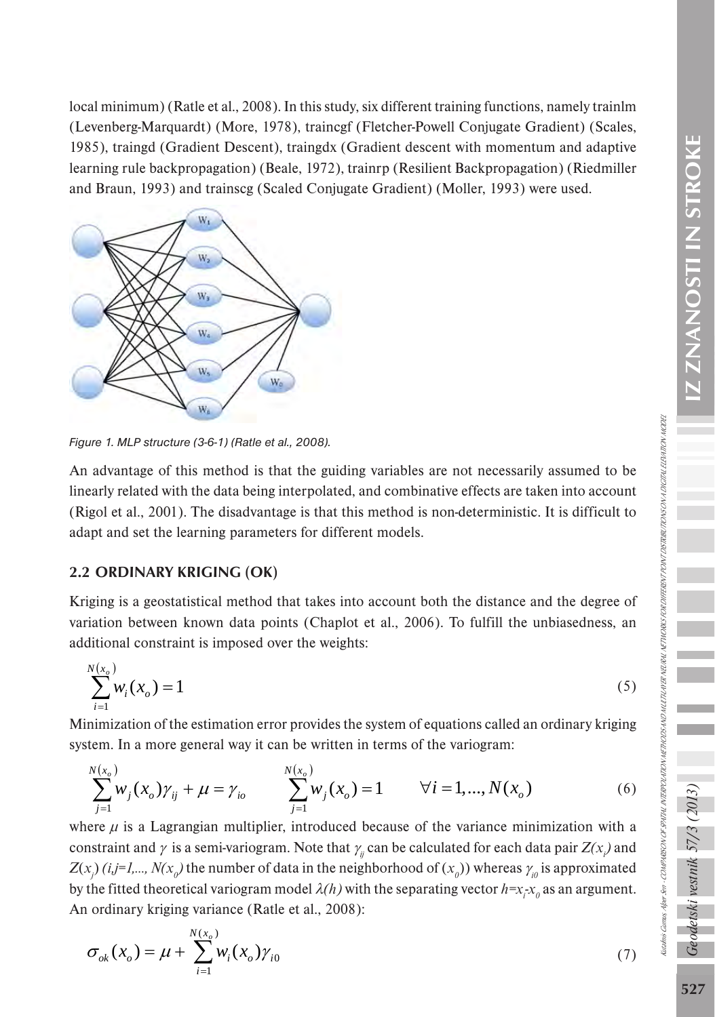local minimum) (Ratle et al., 2008). In this study, six different training functions, namely trainlm (Levenberg-Marquardt) (More, 1978), traincgf (Fletcher-Powell Conjugate Gradient) (Scales, 1985), traingd (Gradient Descent), traingdx (Gradient descent with momentum and adaptive learning rule backpropagation) (Beale, 1972), trainrp (Resilient Backpropagation) (Riedmiller and Braun, 1993) and trainscg (Scaled Conjugate Gradient) (Moller, 1993) were used.



*Figure 1. MLP structure (3-6-1) (Ratle et al., 2008).* 

An advantage of this method is that the guiding variables are not necessarily assumed to be linearly related with the data being interpolated, and combinative effects are taken into account (Rigol et al., 2001). The disadvantage is that this method is non-deterministic. It is difficult to adapt and set the learning parameters for different models.

# 2.2 ORDINARY KRIGING (OK)

Kriging is a geostatistical method that takes into account both the distance and the degree of variation between known data points (Chaplot et al., 2006). To fulfill the unbiasedness, an additional constraint is imposed over the weights:

$$
\sum_{i=1}^{N(x_o)} w_i(x_o) = 1
$$
\n(5)

Minimization of the estimation error provides the system of equations called an ordinary kriging system. In a more general way it can be written in terms of the variogram:

$$
\sum_{j=1}^{N(x_o)} w_j(x_o) \gamma_{ij} + \mu = \gamma_{io} \qquad \sum_{j=1}^{N(x_o)} w_j(x_o) = 1 \qquad \forall i = 1, ..., N(x_o)
$$
 (6)

where  $\mu$  is a Lagrangian multiplier, introduced because of the variance minimization with a constraint and  $\gamma$  is a semi-variogram. Note that  $\gamma$ <sub>*ij*</sub> can be calculated for each data pair  $Z(x)$  and  $Z(x_j)$  (*i,j*=1,...,  $N(x_o)$ ) the number of data in the neighborhood of  $(x_o)$ ) whereas  $\gamma_{io}$  is approximated by the fitted theoretical variogram model  $\lambda(h)$  with the separating vector  $h = x_i x_0$  as an argument. An ordinary kriging variance (Ratle et al., 2008):

$$
\sigma_{ok}(x_o) = \mu + \sum_{i=1}^{N(x_o)} w_i(x_o) \gamma_{i0}
$$
\n(7)

odetski vestnik 57/3 (2013

Kutalmis Gumus, Alper Sen - COMPARISON OF SPATIAL INTERPOLATION METHODS AND MULTI-LAYER NETWORKS FOR DIFFERENT PONT DISTRIBUTIONS ON A DIGITAL ELEVATION NODEL

tadnis Gamas, Aleer Sen · COMPARSON OF SPATHL NTERPOLA TRON ACTED SANO NULTICA NETRA SEPA TORTERES OT POSTRIBUTIONS ON JOSCTRIL 1204 MON MODER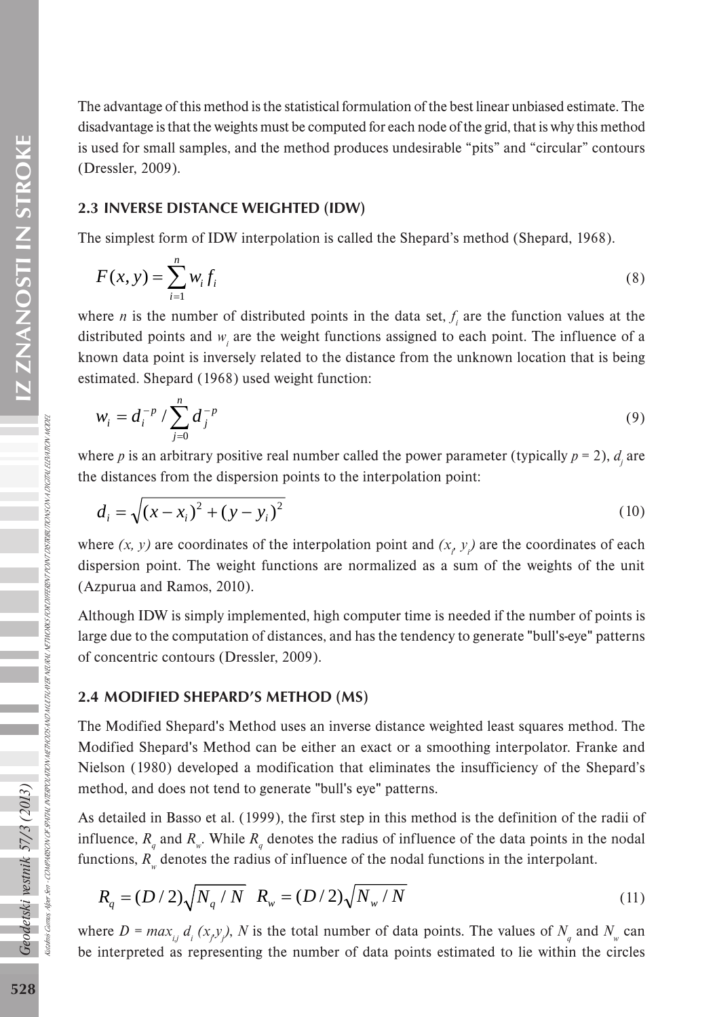The advantage of this method is the statistical formulation of the best linear unbiased estimate. The disadvantage is that the weights must be computed for each node of the grid, that is why this method is used for small samples, and the method produces undesirable "pits" and "circular" contours (Dressler, 2009).

#### 2.3 INVERSE DISTANCE WEIGHTED (IDW)

The simplest form of IDW interpolation is called the Shepard's method (Shepard, 1968).

$$
F(x, y) = \sum_{i=1}^{n} w_i f_i
$$
 (8)

where *n* is the number of distributed points in the data set,  $f_i$  are the function values at the distributed points and  $w_i$  are the weight functions assigned to each point. The influence of a known data point is inversely related to the distance from the unknown location that is being estimated. Shepard (1968) used weight function:

$$
w_i = d_i^{-p} / \sum_{j=0}^n d_j^{-p}
$$
 (9)

where *p* is an arbitrary positive real number called the power parameter (typically  $p = 2$ ),  $d_j$  are the distances from the dispersion points to the interpolation point:

$$
d_i = \sqrt{(x - x_i)^2 + (y - y_i)^2}
$$
 (10)

where  $(x, y)$  are coordinates of the interpolation point and  $(x, y)$  are the coordinates of each dispersion point. The weight functions are normalized as a sum of the weights of the unit (Azpurua and Ramos, 2010).

Although IDW is simply implemented, high computer time is needed if the number of points is large due to the computation of distances, and has the tendency to generate "bull's-eye" patterns of concentric contours (Dressler, 2009).

#### 2.4 MODIFIED SHEPARD'S METHOD (MS)

The Modified Shepard's Method uses an inverse distance weighted least squares method. The Modified Shepard's Method can be either an exact or a smoothing interpolator. Franke and Nielson (1980) developed a modification that eliminates the insufficiency of the Shepard's method, and does not tend to generate "bull's eye" patterns.

As detailed in Basso et al. (1999), the first step in this method is the definition of the radii of influence,  $R_q$  and  $R_w$ . While  $R_q$  denotes the radius of influence of the data points in the nodal functions,  $R_{\psi}$  denotes the radius of influence of the nodal functions in the interpolant.

$$
R_q = (D/2)\sqrt{N_q/N} \quad R_w = (D/2)\sqrt{N_w/N} \tag{11}
$$

where  $D = max_{i,j} d_i(x_j, y_j)$ , *N* is the total number of data points. The values of  $N_q$  and  $N_w$  can be interpreted as representing the number of data points estimated to lie within the circles

Kutalmis Gumus, Alper Sen -

Geodetski vestnik 57/3 (2013)

COMPARISON OF SPATIAL INTERPOLATION METHODS AND MULTI-LAYER NEURAL NETWORKS FOR DIFFERENT POINT DISTRIBUTIONS ON A DIGITAL ELEVATION MODEL

NTERPOLATION METHOOS AND MULTILAYER NEURLI NETWORKS FOR DIFFERENT PONNT DISTRIBUTIONS ON A DIGITAL ELEMITION I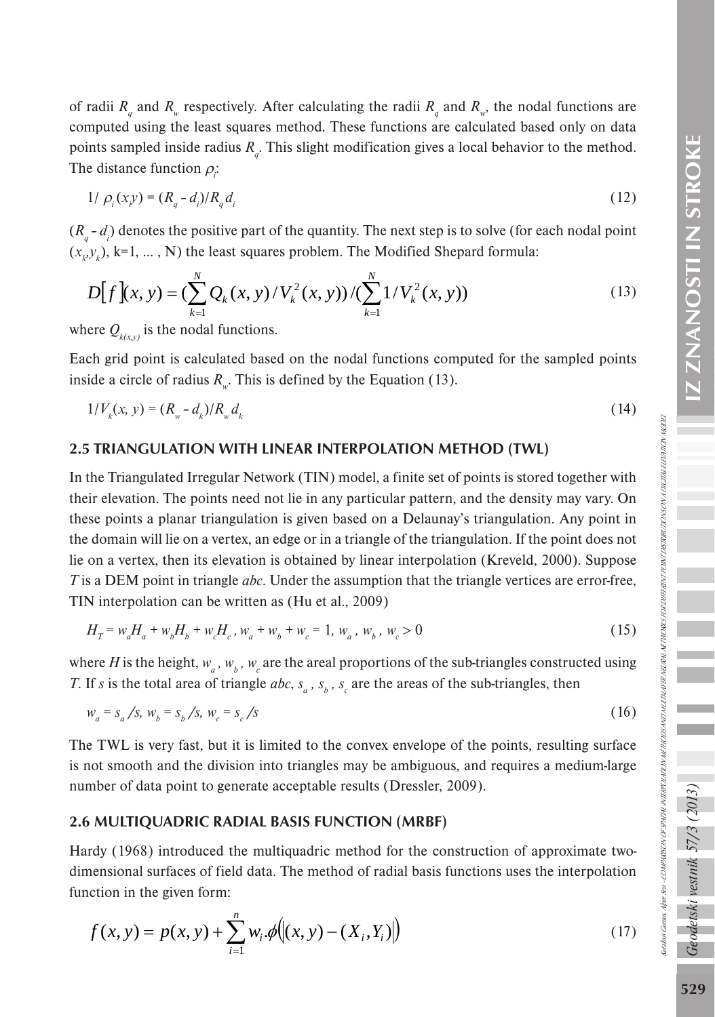of radii  $R_q$  and  $R_w$  respectively. After calculating the radii  $R_q$  and  $R_w$ , the nodal functions are computed using the least squares method. These functions are calculated based only on data points sampled inside radius  $R_q$ . This slight modification gives a local behavior to the method. The distance function  $\rho_i$ :

$$
1/\rho_i(x, y) = (R_q - d_i)/R_q d_i
$$
\n(12)

 $(R_q - d_i)$  denotes the positive part of the quantity. The next step is to solve (for each nodal point  $(x_k, y_k)$ , k=1, ..., N) the least squares problem. The Modified Shepard formula:

$$
D[f](x, y) = \left(\sum_{k=1}^{N} Q_k(x, y) / V_k^2(x, y)\right) / \left(\sum_{k=1}^{N} 1 / V_k^2(x, y)\right)
$$
\n(13)

where  $Q_{k(x,y)}$  is the nodal functions.

Each grid point is calculated based on the nodal functions computed for the sampled points inside a circle of radius  $R_{\mu}$ . This is defined by the Equation (13).

$$
1/V_k(x, y) = (R_w - d_k)/R_w d_k
$$
\n(14)

#### 2.5 TRIANGULATION WITH LINEAR INTERPOLATION METHOD (TWL)

In the Triangulated Irregular Network (TIN) model, a finite set of points is stored together with their elevation. The points need not lie in any particular pattern, and the density may vary. On these points a planar triangulation is given based on a Delaunay's triangulation. Any point in the domain will lie on a vertex, an edge or in a triangle of the triangulation. If the point does not lie on a vertex, then its elevation is obtained by linear interpolation (Kreveld, 2000). Suppose *T* is a DEM point in triangle *abc*. Under the assumption that the triangle vertices are error-free, TIN interpolation can be written as (Hu et al., 2009)

$$
H_T = w_a H_a + w_b H_b + w_c H_c, w_a + w_b + w_c = 1, w_a, w_b, w_c > 0
$$
\n<sup>(15)</sup>

where *H* is the height,  $w_a$ ,  $w_b$ ,  $w_c$  are the areal proportions of the sub-triangles constructed using *T*. If *s* is the total area of triangle *abc*,  $s_a$ ,  $s_b$ ,  $s_c$  are the areas of the sub-triangles, then

$$
w_a = s_a / s, \ w_b = s_b / s, \ w_c = s_c / s \tag{16}
$$

The TWL is very fast, but it is limited to the convex envelope of the points, resulting surface is not smooth and the division into triangles may be ambiguous, and requires a medium-large number of data point to generate acceptable results (Dressler, 2009).

#### 2.6 MULTIQUADRIC RADIAL BASIS FUNCTION (MRBF)

Hardy (1968) introduced the multiquadric method for the construction of approximate twodimensional surfaces of field data. The method of radial basis functions uses the interpolation function in the given form:

$$
f(x, y) = p(x, y) + \sum_{i=1}^{n} w_i \phi(|(x, y) - (X_i, Y_i)|)
$$
\n(17)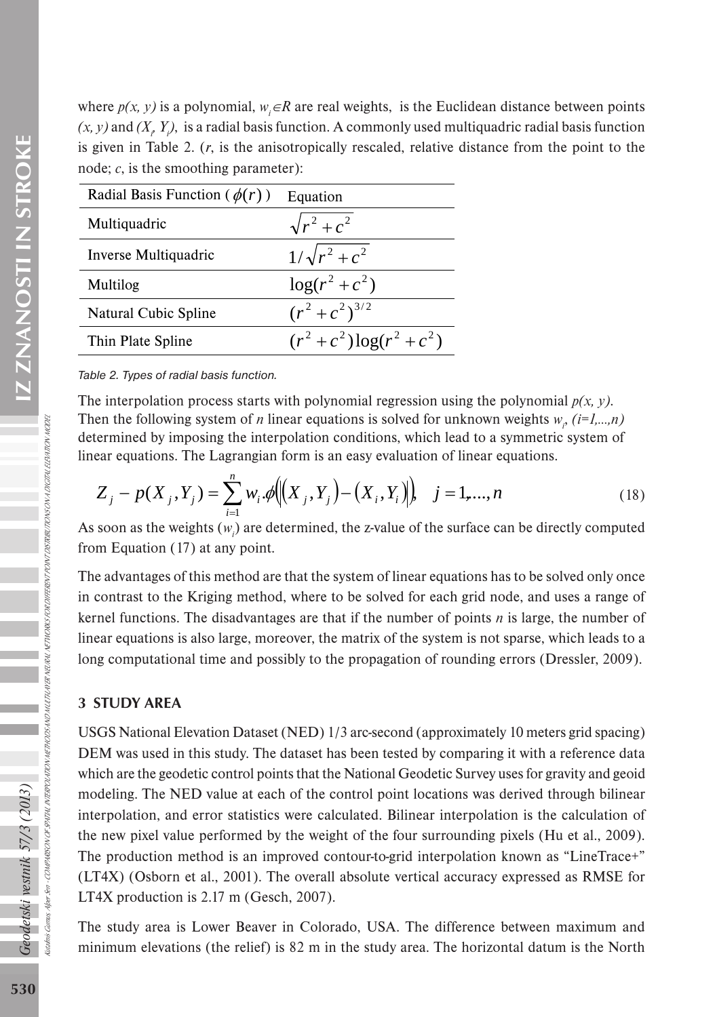where  $p(x, y)$  is a polynomial,  $w_i \in \mathbb{R}$  are real weights, is the Euclidean distance between points  $(x, y)$  and  $(X, Y)$ , is a radial basis function. A commonly used multiquadric radial basis function is given in Table 2. (*r*, is the anisotropically rescaled, relative distance from the point to the node; *c*, is the smoothing parameter):

| Radial Basis Function ( $\phi(r)$ ) | Equation                 |
|-------------------------------------|--------------------------|
| Multiquadric                        | $\sqrt{r^2+c^2}$         |
| Inverse Multiquadric                | $1/\sqrt{r^2+c^2}$       |
| Multilog                            | $\log(r^2+c^2)$          |
| Natural Cubic Spline                | $(r^2+c^2)^{3/2}$        |
| Thin Plate Spline                   | $(r^2+c^2)\log(r^2+c^2)$ |

*Table 2. Types of radial basis function.*

The interpolation process starts with polynomial regression using the polynomial  $p(x, y)$ . Then the following system of *n* linear equations is solved for unknown weights  $w_i$ ,  $(i=1,...,n)$ determined by imposing the interpolation conditions, which lead to a symmetric system of linear equations. The Lagrangian form is an easy evaluation of linear equations.

$$
Z_j - p(X_j, Y_j) = \sum_{i=1}^n w_i \phi \Big( \Big( X_j, Y_j \Big) - \Big( X_i, Y_i \Big) \Big), \quad j = 1, ..., n
$$
\n(18)

As soon as the weights  $(w_i)$  are determined, the z-value of the surface can be directly computed from Equation (17) at any point.

The advantages of this method are that the system of linear equations has to be solved only once in contrast to the Kriging method, where to be solved for each grid node, and uses a range of kernel functions. The disadvantages are that if the number of points *n* is large, the number of linear equations is also large, moreover, the matrix of the system is not sparse, which leads to a long computational time and possibly to the propagation of rounding errors (Dressler, 2009).

# 3 STUDY AREA

Kutalmis Gumus, Alper Sen - COMPARISON OF SPATIAL INTERPOLATION METHODS AND MULTI-LAYER NETWORKS FOR DIFFERENT PONT DISTRIBUTIONS ON A DIGITAL ELEVATION NODEL

V OFSPATINI, NITERPOLATION METHODS AND MULTILAVER NEURAL NETWORKS FOR DIFFERENT PONT DISTRIBUTIONS ON A DIGITAL ELEM TRON I

USGS National Elevation Dataset (NED) 1/3 arc-second (approximately 10 meters grid spacing) DEM was used in this study. The dataset has been tested by comparing it with a reference data which are the geodetic control points that the National Geodetic Survey uses for gravity and geoid modeling. The NED value at each of the control point locations was derived through bilinear interpolation, and error statistics were calculated. Bilinear interpolation is the calculation of the new pixel value performed by the weight of the four surrounding pixels (Hu et al., 2009). The production method is an improved contour-to-grid interpolation known as "LineTrace+" (LT4X) (Osborn et al., 2001). The overall absolute vertical accuracy expressed as RMSE for LT4X production is 2.17 m (Gesch, 2007).

The study area is Lower Beaver in Colorado, USA. The difference between maximum and minimum elevations (the relief) is 82 m in the study area. The horizontal datum is the North

Geodetski vestnik 57/3 (2013)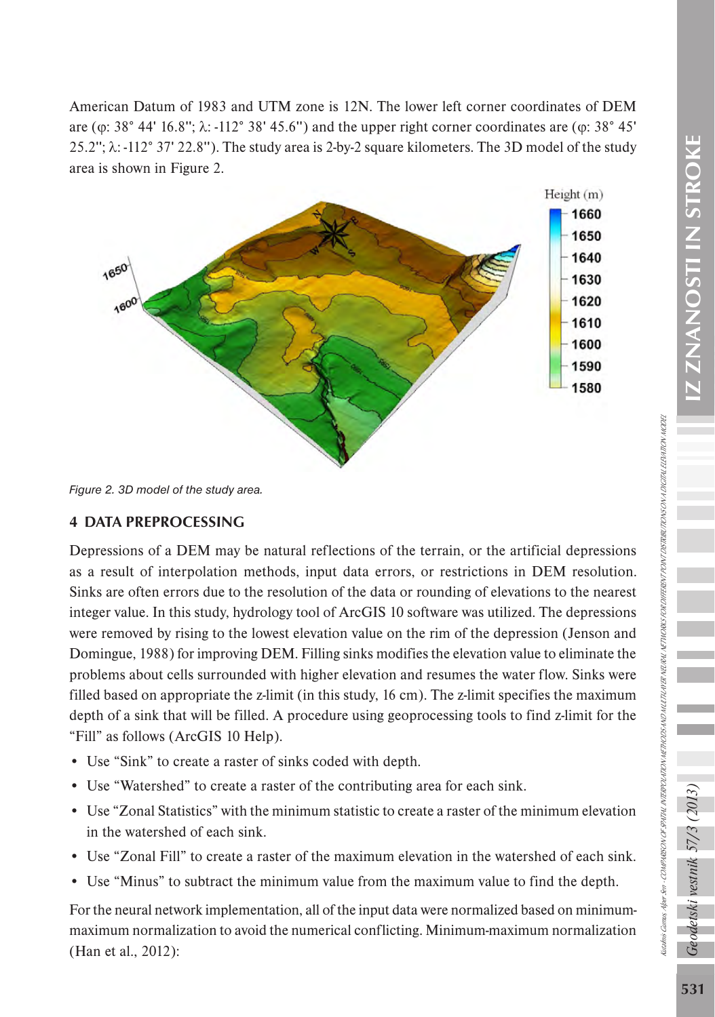American Datum of 1983 and UTM zone is 12N. The lower left corner coordinates of DEM are ( $\varphi$ : 38° 44' 16.8";  $\lambda$ : -112° 38' 45.6") and the upper right corner coordinates are ( $\varphi$ : 38° 45' 25.2''; λ: -112° 37' 22.8''). The study area is 2-by-2 square kilometers. The 3D model of the study area is shown in Figure 2.



*Figure 2. 3D model of the study area.*

# 4 DATA PREPROCESSING

Depressions of a DEM may be natural reflections of the terrain, or the artificial depressions as a result of interpolation methods, input data errors, or restrictions in DEM resolution. Sinks are often errors due to the resolution of the data or rounding of elevations to the nearest integer value. In this study, hydrology tool of ArcGIS 10 software was utilized. The depressions were removed by rising to the lowest elevation value on the rim of the depression (Jenson and Domingue, 1988) for improving DEM. Filling sinks modifies the elevation value to eliminate the problems about cells surrounded with higher elevation and resumes the water flow. Sinks were filled based on appropriate the z-limit (in this study, 16 cm). The z-limit specifies the maximum depth of a sink that will be filled. A procedure using geoprocessing tools to find z-limit for the "Fill" as follows (ArcGIS 10 Help).

- Use "Sink" to create a raster of sinks coded with depth.
- Use "Watershed" to create a raster of the contributing area for each sink.
- Use "Zonal Statistics" with the minimum statistic to create a raster of the minimum elevation in the watershed of each sink.
- Use "Zonal Fill" to create a raster of the maximum elevation in the watershed of each sink.
- Use "Minus" to subtract the minimum value from the maximum value to find the depth.

For the neural network implementation, all of the input data were normalized based on minimummaximum normalization to avoid the numerical conflicting. Minimum-maximum normalization (Han et al., 2012):

detski vestnik 57/3 (

Kutalmis Gumus, Alper Sen - COMPARISON OF SPATIAL INTERPOLATION METHODS AND MULTI-LAYER NETWORKS FOR DIFFERENT PONT DISTRIBUTIONS ON A DIGITAL ELEVATION NODEL

tadnis Gamas Aper.Ser - COMPARICON OF SPATH INTERPOLATION METHOOS AN OMETHEN NORS FOR OPERENT PONT DISTRIKE ITO ON A DOCTRI. IEEA ITON MODER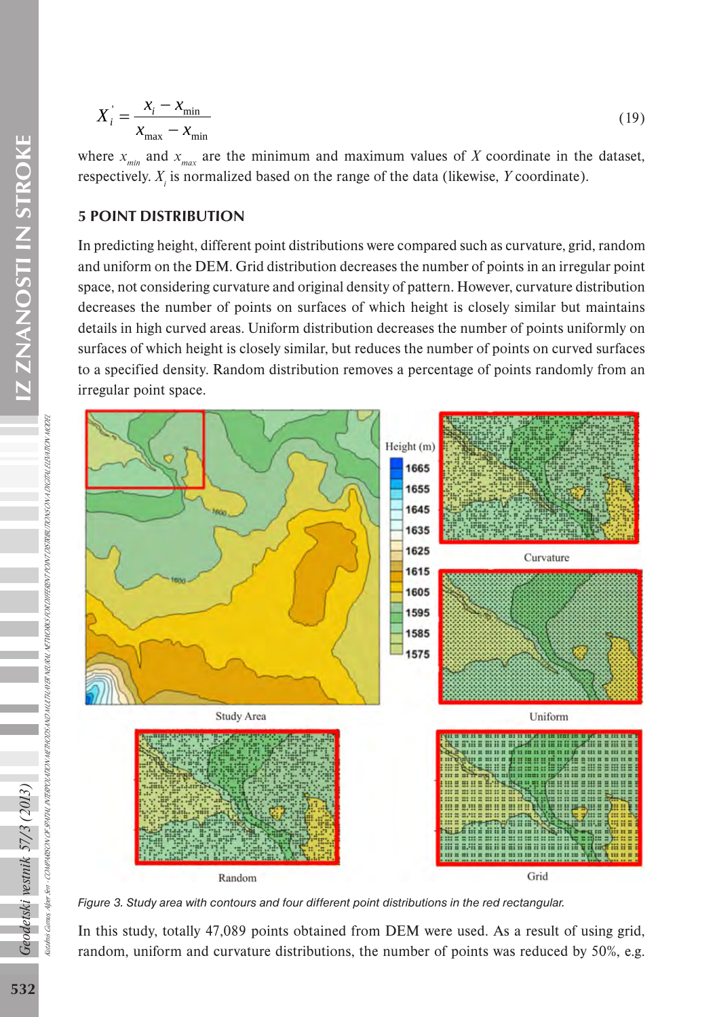$$
X'_{i} = \frac{x_{i} - x_{\text{min}}}{x_{\text{max}} - x_{\text{min}}} \tag{19}
$$

where  $x_{\text{min}}$  and  $x_{\text{max}}$  are the minimum and maximum values of X coordinate in the dataset, respectively. *Xi* is normalized based on the range of the data (likewise, *Y* coordinate).

# 5 POINT DISTRIBUTION

In predicting height, different point distributions were compared such as curvature, grid, random and uniform on the DEM. Grid distribution decreases the number of points in an irregular point space, not considering curvature and original density of pattern. However, curvature distribution decreases the number of points on surfaces of which height is closely similar but maintains details in high curved areas. Uniform distribution decreases the number of points uniformly on surfaces of which height is closely similar, but reduces the number of points on curved surfaces to a specified density. Random distribution removes a percentage of points randomly from an irregular point space.



*Figure 3. Study area with contours and four different point distributions in the red rectangular.*

In this study, totally 47,089 points obtained from DEM were used. As a result of using grid, random, uniform and curvature distributions, the number of points was reduced by 50%, e.g.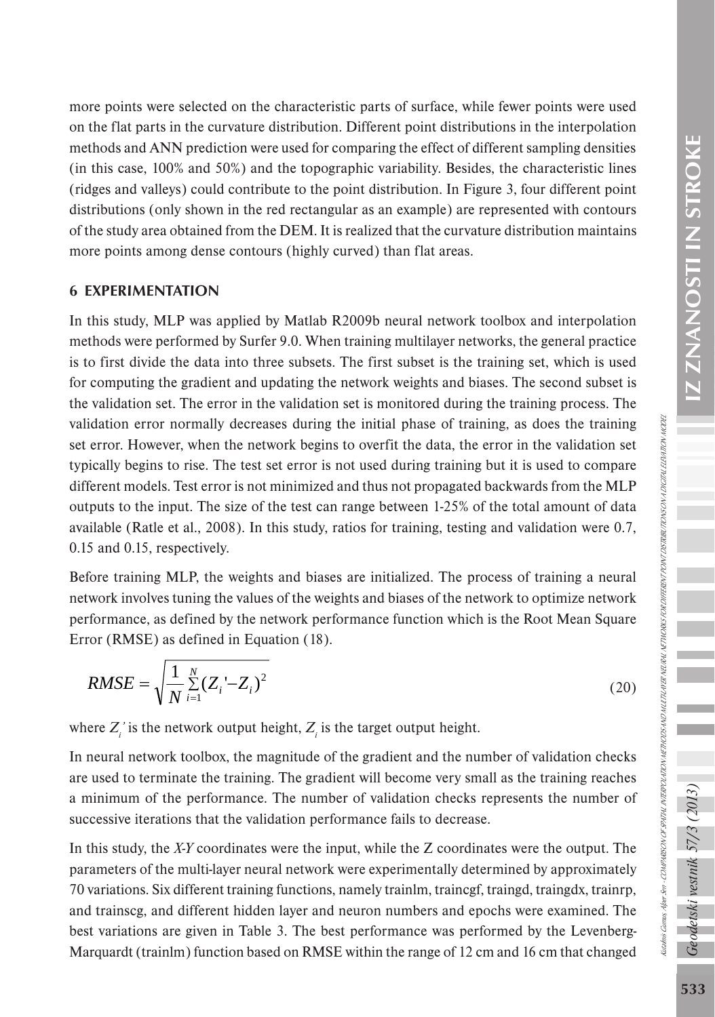Kutalmis Gumus, Alper Sen - COMPARISON OF SPATIAL INTERPOLATION METHODS AND MULTI-LAYER NETWORKS FOR DIFFERENT PONT DISTRIBUTIONS ON A DIGITAL ELEVATION NODEL

liadmis Camus, Alper Sen - COMPARISON OF SPATALI NTERPOLATION NETHODS AND MULTILATER NETHURIS SOR DIFERENT PONT DISTRIBUTIONS ON A DIGTALIZIA NON NODEZ

more points were selected on the characteristic parts of surface, while fewer points were used on the flat parts in the curvature distribution. Different point distributions in the interpolation methods and ANN prediction were used for comparing the effect of different sampling densities (in this case, 100% and 50%) and the topographic variability. Besides, the characteristic lines (ridges and valleys) could contribute to the point distribution. In Figure 3, four different point distributions (only shown in the red rectangular as an example) are represented with contours of the study area obtained from the DEM. It is realized that the curvature distribution maintains more points among dense contours (highly curved) than flat areas.

# 6 EXPERIMENTATION

In this study, MLP was applied by Matlab R2009b neural network toolbox and interpolation methods were performed by Surfer 9.0. When training multilayer networks, the general practice is to first divide the data into three subsets. The first subset is the training set, which is used for computing the gradient and updating the network weights and biases. The second subset is the validation set. The error in the validation set is monitored during the training process. The validation error normally decreases during the initial phase of training, as does the training set error. However, when the network begins to overfit the data, the error in the validation set typically begins to rise. The test set error is not used during training but it is used to compare different models. Test error is not minimized and thus not propagated backwards from the MLP outputs to the input. The size of the test can range between 1-25% of the total amount of data available (Ratle et al., 2008). In this study, ratios for training, testing and validation were 0.7, 0.15 and 0.15, respectively.

Before training MLP, the weights and biases are initialized. The process of training a neural network involves tuning the values of the weights and biases of the network to optimize network performance, as defined by the network performance function which is the Root Mean Square Error (RMSE) as defined in Equation (18).

$$
RMSE = \sqrt{\frac{1}{N} \sum_{i=1}^{N} (Z_i - Z_i)^2}
$$
 (20)

where  $Z_i'$  is the network output height,  $Z_i$  is the target output height.

In neural network toolbox, the magnitude of the gradient and the number of validation checks are used to terminate the training. The gradient will become very small as the training reaches a minimum of the performance. The number of validation checks represents the number of successive iterations that the validation performance fails to decrease.

In this study, the *X-Y* coordinates were the input, while the Z coordinates were the output. The parameters of the multi-layer neural network were experimentally determined by approximately 70 variations. Six different training functions, namely trainlm, traincgf, traingd, traingdx, trainrp, and trainscg, and different hidden layer and neuron numbers and epochs were examined. The best variations are given in Table 3. The best performance was performed by the Levenberg-Marquardt (trainlm) function based on RMSE within the range of 12 cm and 16 cm that changed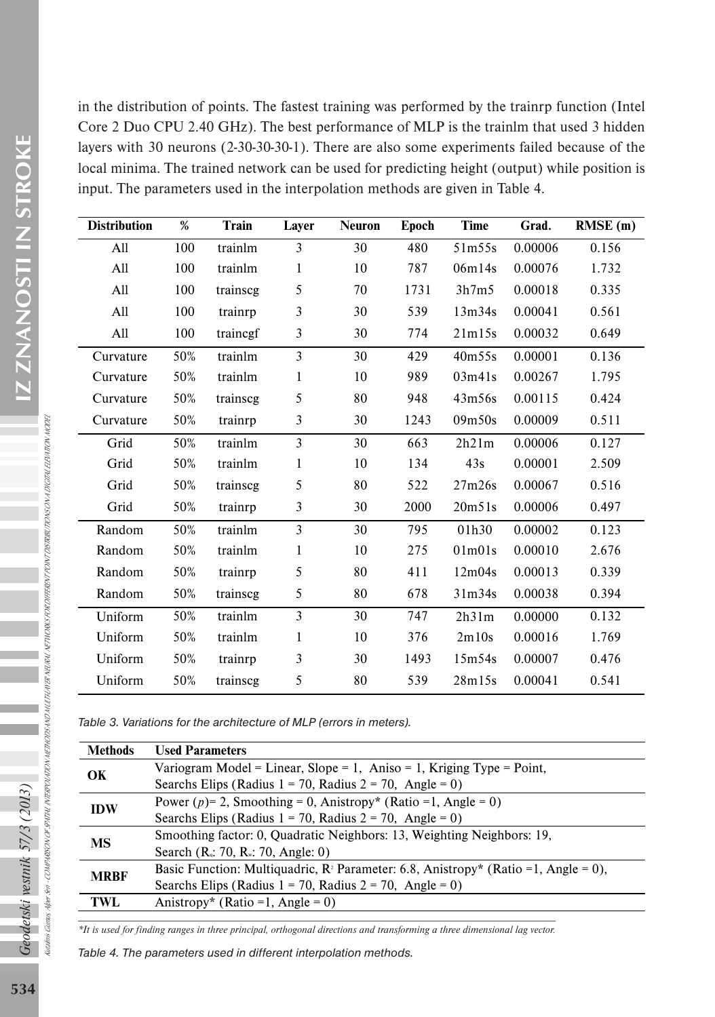in the distribution of points. The fastest training was performed by the trainrp function (Intel Core 2 Duo CPU 2.40 GHz). The best performance of MLP is the trainlm that used 3 hidden layers with 30 neurons (2-30-30-30-1). There are also some experiments failed because of the local minima. The trained network can be used for predicting height (output) while position is input. The parameters used in the interpolation methods are given in Table 4.

| <b>Distribution</b> | %   | Train    | Layer        | <b>Neuron</b> | Epoch | Time               | Grad.   | RMSE(m) |
|---------------------|-----|----------|--------------|---------------|-------|--------------------|---------|---------|
| A11                 | 100 | trainlm  | 3            | 30            | 480   | 51 <sub>m55s</sub> | 0.00006 | 0.156   |
| All                 | 100 | trainlm  | $\mathbf{1}$ | 10            | 787   | 06m14s             | 0.00076 | 1.732   |
| All                 | 100 | trainscg | 5            | 70            | 1731  | 3h7m5              | 0.00018 | 0.335   |
| All                 | 100 | trainrp  | 3            | 30            | 539   | 13m34s             | 0.00041 | 0.561   |
| All                 | 100 | traincgf | 3            | 30            | 774   | 21m15s             | 0.00032 | 0.649   |
| Curvature           | 50% | trainlm  | 3            | 30            | 429   | 40m55s             | 0.00001 | 0.136   |
| Curvature           | 50% | trainlm  | 1            | 10            | 989   | 03m41s             | 0.00267 | 1.795   |
| Curvature           | 50% | trainscg | 5            | 80            | 948   | 43m56s             | 0.00115 | 0.424   |
| Curvature           | 50% | trainrp  | 3            | 30            | 1243  | 09m50s             | 0.00009 | 0.511   |
| Grid                | 50% | trainlm  | 3            | 30            | 663   | 2h21m              | 0.00006 | 0.127   |
| Grid                | 50% | trainlm  | 1            | 10            | 134   | 43s                | 0.00001 | 2.509   |
| Grid                | 50% | trainscg | 5            | 80            | 522   | 27m26s             | 0.00067 | 0.516   |
| Grid                | 50% | trainrp  | 3            | 30            | 2000  | 20m51s             | 0.00006 | 0.497   |
| Random              | 50% | trainlm  | 3            | 30            | 795   | 01h30              | 0.00002 | 0.123   |
| Random              | 50% | trainlm  | $\mathbf{1}$ | 10            | 275   | 01m01s             | 0.00010 | 2.676   |
| Random              | 50% | trainrp  | 5            | 80            | 411   | 12m04s             | 0.00013 | 0.339   |
| Random              | 50% | trainscg | 5            | 80            | 678   | 31m34s             | 0.00038 | 0.394   |
| Uniform             | 50% | trainlm  | 3            | 30            | 747   | 2h31m              | 0.00000 | 0.132   |
| Uniform             | 50% | trainlm  | $\mathbf{1}$ | 10            | 376   | 2m10s              | 0.00016 | 1.769   |
| Uniform             | 50% | trainrp  | 3            | 30            | 1493  | 15m54s             | 0.00007 | 0.476   |
| Uniform             | 50% | trainscg | 5            | 80            | 539   | 28m15s             | 0.00041 | 0.541   |

*Table 3. Variations for the architecture of MLP (errors in meters).*

| <b>Methods</b> | <b>Used Parameters</b>                                                                          |
|----------------|-------------------------------------------------------------------------------------------------|
| OK             | Variogram Model = Linear, Slope = 1, Aniso = 1, Kriging Type = Point,                           |
|                | Searchs Elips (Radius $1 = 70$ , Radius $2 = 70$ , Angle = 0)                                   |
| <b>IDW</b>     | Power (p)= 2, Smoothing = 0, Anistropy* (Ratio = 1, Angle = 0)                                  |
|                | Searchs Elips (Radius $1 = 70$ , Radius $2 = 70$ , Angle = 0)                                   |
| MS             | Smoothing factor: 0, Quadratic Neighbors: 13, Weighting Neighbors: 19,                          |
|                | Search $(R_i: 70, R_{\nu}: 70, \text{Angle}: 0)$                                                |
| <b>MRBF</b>    | Basic Function: Multiquadric, $\mathbb{R}^2$ Parameter: 6.8, Anistropy* (Ratio = 1, Angle = 0), |
|                | Searchs Elips (Radius $1 = 70$ , Radius $2 = 70$ , Angle = 0)                                   |
| TWL            | Anistropy* (Ratio = 1, Angle = 0)                                                               |

*\*It is used for finding ranges in three principal, orthogonal directions and transforming a three dimensional lag vector.*

*Table 4. The parameters used in different interpolation methods.*

Geodetski vestnik 57/3 (2013)

Kutalmis Gumus, Alper Sen -

Camus, AlperSen

COMPARISON OF SPATIAL INTERPOLATION METHODS AND MULTI-LAYER NEURAL NETWORKS FOR DIFFERENT POINT DISTRIBUTIONS ON A DIGITAL ELEVATION MODEL

COMPARSON OF SPATHLINTERPOLATION METHODS AND MUTTLANER NEUVEL NETWORKS FOR DIFERENT PONYT DISTRIK OF OVA DETINLEEN TRON MODE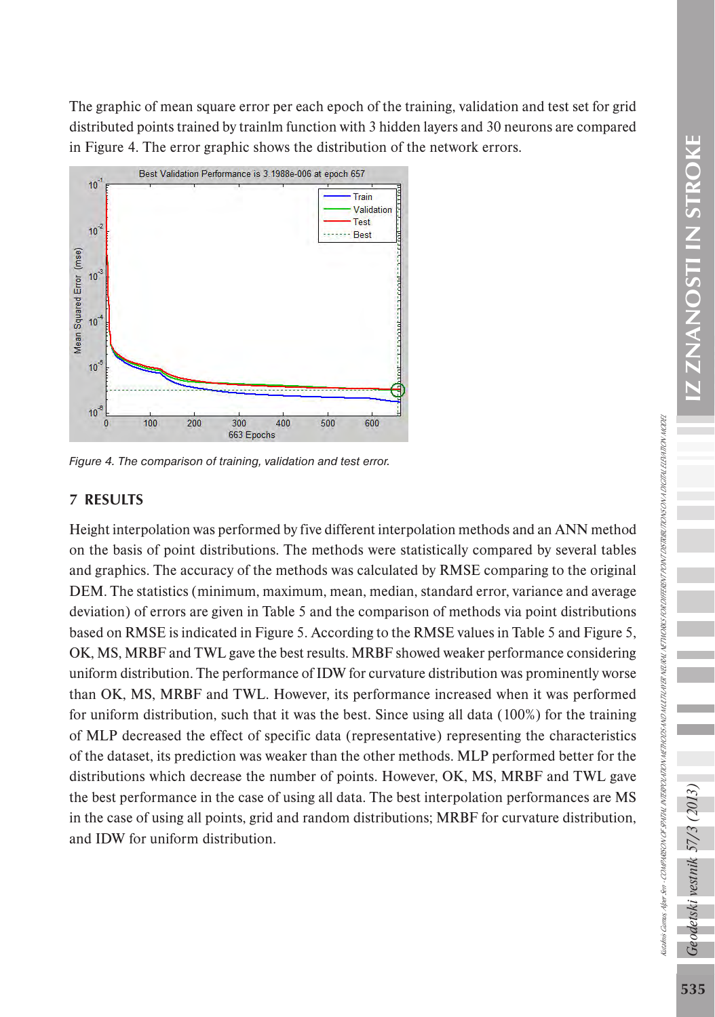The graphic of mean square error per each epoch of the training, validation and test set for grid distributed points trained by trainlm function with 3 hidden layers and 30 neurons are compared in Figure 4. The error graphic shows the distribution of the network errors.



*Figure 4. The comparison of training, validation and test error.*

# 7 RESULTS

Height interpolation was performed by five different interpolation methods and an ANN method on the basis of point distributions. The methods were statistically compared by several tables and graphics. The accuracy of the methods was calculated by RMSE comparing to the original DEM. The statistics (minimum, maximum, mean, median, standard error, variance and average deviation) of errors are given in Table 5 and the comparison of methods via point distributions based on RMSE is indicated in Figure 5. According to the RMSE values in Table 5 and Figure 5, OK, MS, MRBF and TWL gave the best results. MRBF showed weaker performance considering uniform distribution. The performance of IDW for curvature distribution was prominently worse than OK, MS, MRBF and TWL. However, its performance increased when it was performed for uniform distribution, such that it was the best. Since using all data (100%) for the training of MLP decreased the effect of specific data (representative) representing the characteristics of the dataset, its prediction was weaker than the other methods. MLP performed better for the distributions which decrease the number of points. However, OK, MS, MRBF and TWL gave the best performance in the case of using all data. The best interpolation performances are MS in the case of using all points, grid and random distributions; MRBF for curvature distribution, and IDW for uniform distribution.

vestnik 57/3

detski

Kutalmis Gumus, Alper Sen - COMPARISON OF SPATIAL INTERPOLATION METHODS AND MULTI-LAYER NETWORKS FOR DIFFERENT PONT DISTRIBUTIONS ON A DIGITAL ELEVATION NODEL

taahnis Gamus, Aleer-Sen - COMPARSON OFSPATIL INTERPOLATION ACTEMORY AD MUTTAL NETAIL NETAIS OR DIFFERENT POLITIONS ON JOSCTAL ELEVATION MODER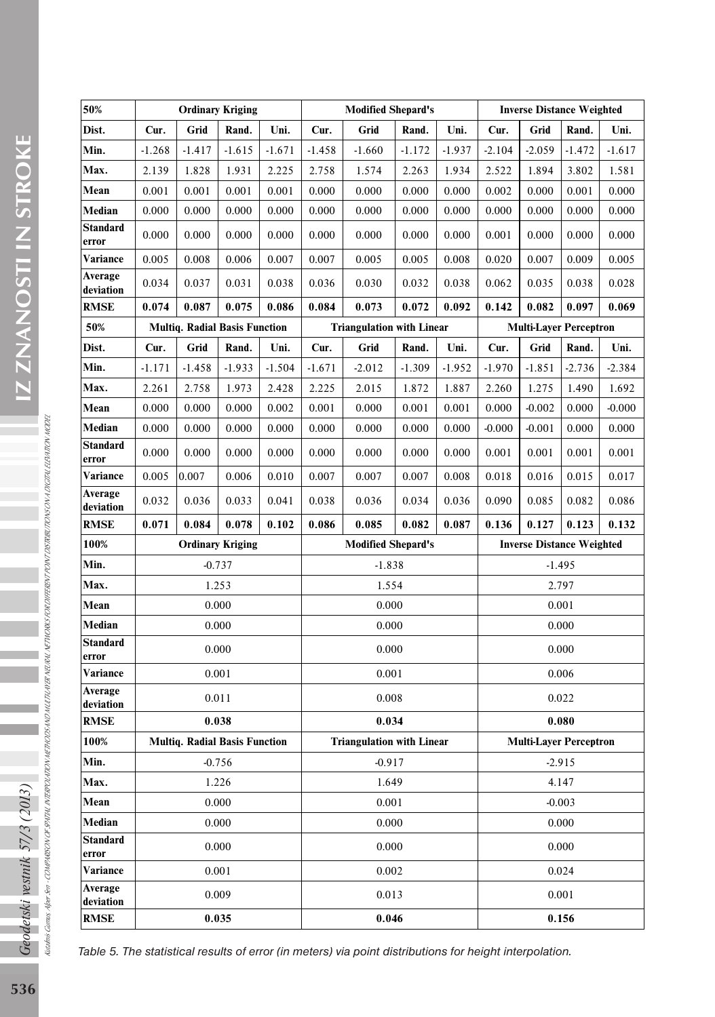| 50%                      | <b>Ordinary Kriging</b> |          |                                      |                | <b>Modified Shepard's</b>        |                                  |          |                                  | <b>Inverse Distance Weighted</b> |                               |          |          |
|--------------------------|-------------------------|----------|--------------------------------------|----------------|----------------------------------|----------------------------------|----------|----------------------------------|----------------------------------|-------------------------------|----------|----------|
| Dist.                    | Cur.                    | Grid     | Rand.                                | Uni.           | Cur.<br>Grid<br>Rand.<br>Uni.    |                                  |          | Grid<br>Rand.<br>Cur.<br>Uni.    |                                  |                               |          |          |
| Min.                     | $-1.268$                | $-1.417$ | $-1.615$                             | $-1.671$       | $-1.458$                         | $-1.660$                         | $-1.172$ | $-1.937$                         | $-2.104$                         | $-2.059$                      | $-1.472$ | $-1.617$ |
| Max.                     | 2.139                   | 1.828    | 1.931                                | 2.225          | 2.758                            | 1.574                            | 2.263    | 1.934                            | 2.522                            | 1.894                         | 3.802    | 1.581    |
| Mean                     | 0.001                   | 0.001    | 0.001                                | 0.001          | 0.000                            | 0.000                            | 0.000    | 0.000                            | 0.002                            | 0.000                         | 0.001    | 0.000    |
| Median                   | 0.000                   | 0.000    | 0.000                                | 0.000          | 0.000                            | 0.000                            | 0.000    | 0.000                            | 0.000                            | 0.000                         | 0.000    | 0.000    |
| <b>Standard</b>          |                         |          |                                      |                |                                  |                                  |          |                                  |                                  |                               |          |          |
| error                    | 0.000                   | 0.000    | 0.000                                | 0.000          | 0.000                            | 0.000                            | 0.000    | 0.000                            | 0.001                            | 0.000                         | 0.000    | 0.000    |
| Variance                 | 0.005                   | 0.008    | 0.006                                | 0.007          | 0.007                            | 0.005                            | 0.005    | 0.008                            | 0.020                            | 0.007                         | 0.009    | 0.005    |
| Average<br>deviation     | 0.034                   | 0.037    | 0.031                                | 0.038          | 0.036                            | 0.030                            | 0.032    | 0.038                            | 0.062                            | 0.035                         | 0.038    | 0.028    |
| <b>RMSE</b>              | 0.074                   | 0.087    | 0.075                                | 0.086          | 0.084                            | 0.073                            | 0.072    | 0.092                            | 0.142                            | 0.082                         | 0.097    | 0.069    |
| 50%                      |                         |          | <b>Multiq. Radial Basis Function</b> |                |                                  | <b>Triangulation with Linear</b> |          |                                  |                                  | <b>Multi-Layer Perceptron</b> |          |          |
| Dist.                    | Cur.                    | Grid     | Rand.                                | Uni.           | Cur.                             | Grid                             | Rand.    | Uni.                             | Cur.                             | Grid                          | Rand.    | Uni.     |
| Min.                     | $-1.171$                | $-1.458$ | $-1.933$                             | $-1.504$       | $-1.671$                         | $-2.012$                         | $-1.309$ | $-1.952$                         | $-1.970$                         | $-1.851$                      | $-2.736$ | $-2.384$ |
| Max.                     | 2.261                   | 2.758    | 1.973                                | 2.428          | 2.225                            | 2.015                            | 1.872    | 1.887                            | 2.260                            | 1.275                         | 1.490    | 1.692    |
| Mean                     | 0.000                   | 0.000    | 0.000                                | 0.002          | 0.001                            | 0.000                            | 0.001    | 0.001                            | 0.000                            | $-0.002$                      | 0.000    | $-0.000$ |
| Median                   | 0.000                   | 0.000    | 0.000                                | 0.000          | 0.000                            | 0.000                            | 0.000    | 0.000                            | $-0.000$                         | $-0.001$                      | 0.000    | 0.000    |
| <b>Standard</b><br>error | 0.000                   | 0.000    | 0.000                                | 0.000          | 0.000                            | 0.000                            | 0.000    | 0.000                            | 0.001                            | 0.001                         | 0.001    | 0.001    |
| Variance                 | 0.005                   | 0.007    | 0.006                                | 0.010          | 0.007                            | 0.007                            | 0.007    | 0.008                            | 0.018                            | 0.016                         | 0.015    | 0.017    |
| Average<br>deviation     | 0.032                   | 0.036    | 0.033                                | 0.041          | 0.038                            | 0.036                            | 0.034    | 0.036                            | 0.090                            | 0.085                         | 0.082    | 0.086    |
| <b>RMSE</b>              | 0.071                   | 0.084    | 0.078                                | 0.102          | 0.086                            | 0.085                            | 0.082    | 0.087                            | 0.136                            | 0.127                         | 0.123    | 0.132    |
| 100%                     | <b>Ordinary Kriging</b> |          | <b>Modified Shepard's</b>            |                |                                  |                                  |          | <b>Inverse Distance Weighted</b> |                                  |                               |          |          |
| Min.                     |                         | $-0.737$ |                                      |                | $-1.838$                         |                                  |          |                                  |                                  |                               | $-1.495$ |          |
| Max.                     |                         |          | 1.253                                |                | 1.554                            |                                  |          |                                  | 2.797                            |                               |          |          |
| Mean                     |                         |          | 0.000                                |                | 0.000                            |                                  |          |                                  | 0.001                            |                               |          |          |
| Median                   |                         |          | 0.000                                |                | 0.000                            |                                  |          |                                  | 0.000                            |                               |          |          |
| <b>Standard</b><br>error |                         |          | 0.000                                |                | 0.000                            |                                  |          |                                  | 0.000                            |                               |          |          |
| Variance                 |                         | 0.001    |                                      |                | 0.001                            |                                  |          |                                  | 0.006                            |                               |          |          |
| Average<br>deviation     |                         | 0.011    |                                      |                | 0.008                            |                                  |          |                                  | 0.022                            |                               |          |          |
| <b>RMSE</b>              |                         |          | 0.038                                |                | 0.034                            |                                  |          |                                  | 0.080                            |                               |          |          |
| 100%                     |                         |          | <b>Multiq. Radial Basis Function</b> |                | <b>Triangulation with Linear</b> |                                  |          |                                  | <b>Multi-Layer Perceptron</b>    |                               |          |          |
| Min.                     | $-0.756$                |          | $-0.917$                             |                |                                  |                                  | $-2.915$ |                                  |                                  |                               |          |          |
| Max.                     | 1.226                   |          |                                      | 1.649          |                                  |                                  |          | 4.147                            |                                  |                               |          |          |
| Mean                     | 0.000                   |          |                                      | 0.001          |                                  |                                  |          | $-0.003$                         |                                  |                               |          |          |
| Median                   | 0.000                   |          |                                      | 0.000          |                                  |                                  |          | 0.000                            |                                  |                               |          |          |
| <b>Standard</b>          | 0.000                   |          |                                      | 0.000          |                                  |                                  | 0.000    |                                  |                                  |                               |          |          |
| error<br>Variance        |                         |          |                                      |                |                                  |                                  | 0.024    |                                  |                                  |                               |          |          |
| Average                  | 0.001                   |          |                                      | 0.002<br>0.013 |                                  |                                  | 0.001    |                                  |                                  |                               |          |          |
| deviation<br><b>RMSE</b> | 0.009<br>0.035          |          |                                      |                | 0.046                            |                                  |          | 0.156                            |                                  |                               |          |          |

*Table 5. The statistical results of error (in meters) via point distributions for height interpolation.*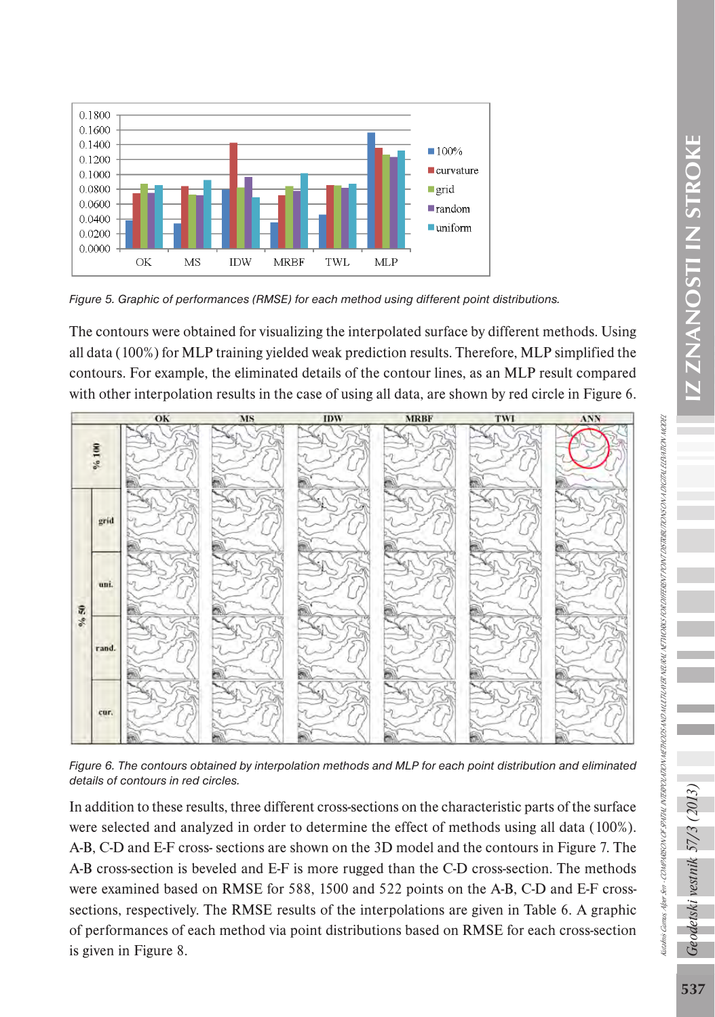

*Figure 5. Graphic of performances (RMSE) for each method using different point distributions.*

The contours were obtained for visualizing the interpolated surface by different methods. Using all data (100%) for MLP training yielded weak prediction results. Therefore, MLP simplified the contours. For example, the eliminated details of the contour lines, as an MLP result compared with other interpolation results in the case of using all data, are shown by red circle in Figure 6.



*Figure 6. The contours obtained by interpolation methods and MLP for each point distribution and eliminated details of contours in red circles.*

In addition to these results, three different cross-sections on the characteristic parts of the surface were selected and analyzed in order to determine the effect of methods using all data (100%). A-B, C-D and E-F cross- sections are shown on the 3D model and the contours in Figure 7. The A-B cross-section is beveled and E-F is more rugged than the C-D cross-section. The methods were examined based on RMSE for 588, 1500 and 522 points on the A-B, C-D and E-F crosssections, respectively. The RMSE results of the interpolations are given in Table 6. A graphic of performances of each method via point distributions based on RMSE for each cross-section is given in Figure 8.

detski vestnik 57/3 (2013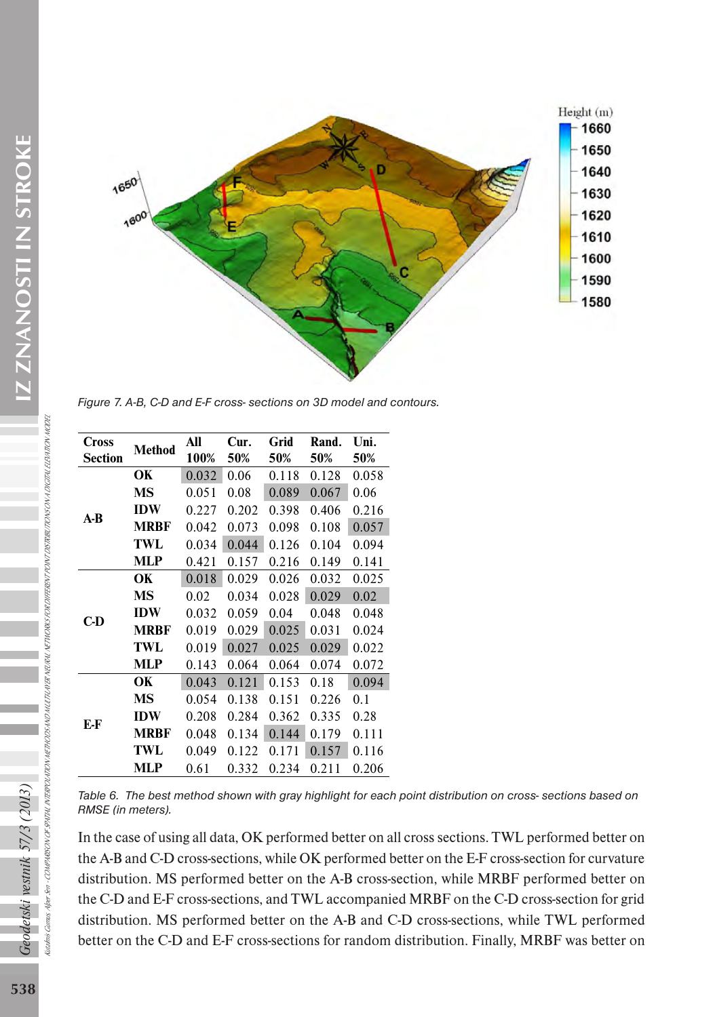

*Figure 7. A-B, C-D and E-F cross- sections on 3D model and contours.*

| Cross<br><b>Section</b> | <b>Method</b> | All<br>100% | Cur.<br>50% | Grid<br>50% | Rand.<br>50% | Uni.<br>50% |
|-------------------------|---------------|-------------|-------------|-------------|--------------|-------------|
|                         | OК            | 0.032       | 0.06        | 0.118       | 0.128        | 0.058       |
|                         | MS            | 0.051       | 0.08        | 0.089       | 0.067        | 0.06        |
| $A-B$                   | <b>IDW</b>    | 0.227       | 0.202       | 0.398       | 0.406        | 0.216       |
|                         | MRBF          | 0.042       | 0.073       | 0.098       | 0.108        | 0.057       |
|                         | TWL           | 0.034       | 0.044       | 0.126       | 0.104        | 0.094       |
|                         | MLP           | 0.421       | 0.157       | 0.216       | 0.149        | 0.141       |
|                         | OК            | 0.018       | 0.029       | 0.026       | 0.032        | 0.025       |
|                         | MS            | 0.02        | 0.034       | 0.028       | 0.029        | 0.02        |
| C-D                     | <b>IDW</b>    | 0.032       | 0.059       | 0.04        | 0.048        | 0.048       |
|                         | <b>MRBF</b>   | 0.019       | 0.029       | 0.025       | 0.031        | 0.024       |
|                         | TWL           | 0.019       | 0.027       | 0.025       | 0.029        | 0.022       |
|                         | MLP           | 0.143       | 0.064       | 0.064       | 0.074        | 0.072       |
| E-F                     | OК            | 0.043       | 0.121       | 0.153       | 0.18         | 0.094       |
|                         | МS            | 0.054       | 0.138       | 0.151       | 0.226        | 0.1         |
|                         | <b>IDW</b>    | 0.208       | 0.284       | 0.362       | 0.335        | 0.28        |
|                         | <b>MRBF</b>   | 0.048       | 0.134       | 0.144       | 0.179        | 0.111       |
|                         | TWL           | 0.049       | 0.122       | 0.171       | 0.157        | 0.116       |
|                         | MLP           | 0.61        | 0.332       | 0.234       | 0.211        | 0.206       |

*Table 6. The best method shown with gray highlight for each point distribution on cross- sections based on RMSE (in meters).*

In the case of using all data, OK performed better on all cross sections. TWL performed better on the A-B and C-D cross-sections, while OK performed better on the E-F cross-section for curvature distribution. MS performed better on the A-B cross-section, while MRBF performed better on the C-D and E-F cross-sections, and TWL accompanied MRBF on the C-D cross-section for grid distribution. MS performed better on the A-B and C-D cross-sections, while TWL performed better on the C-D and E-F cross-sections for random distribution. Finally, MRBF was better on

Geodetski vestnik 57/3 (2013) Šеn -

Cutalmis Gumus, Alber

Kutalmis Gumus, Alper Sen - COMPARISON OF SPATIAL INTERPOLATION METHODS AND MULTI-LAYER NETWORKS FOR DIFFERENT PONT DISTRIBUTIONS ON A DIGITAL ELEVATION NODEL

COMPARSON OF SPATHLINTERPOLATION METHODS AND MULTILANER NEUVEL NETWORKS FOR DIFFERENT PONT DISTRIBUTIONS ON A DIGITAL ELEVATION MODEL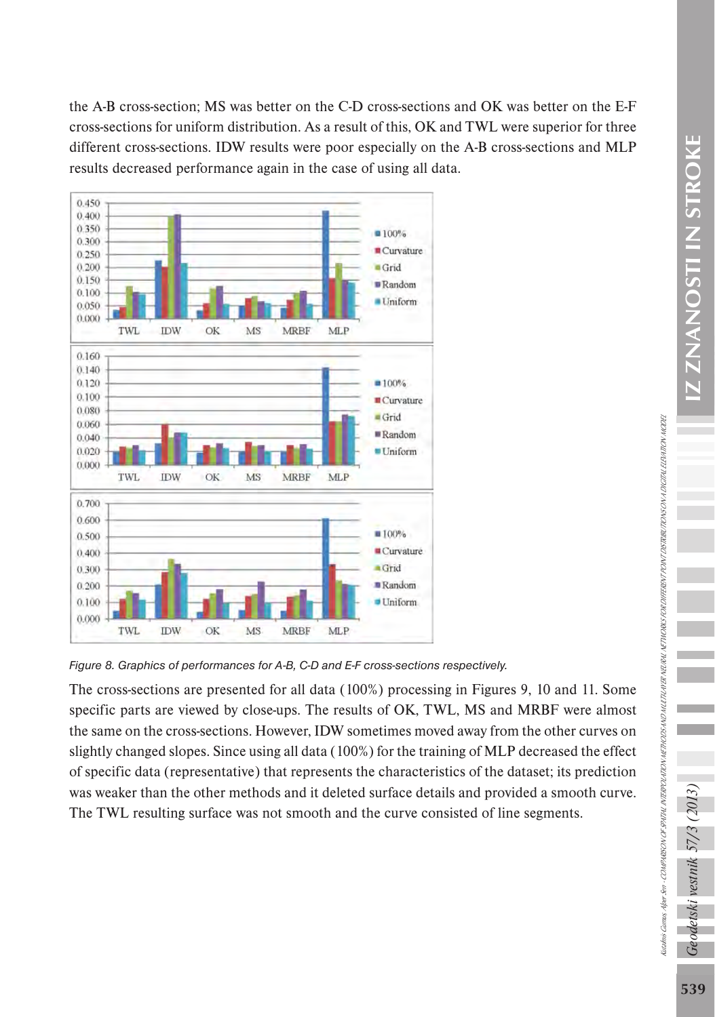the A-B cross-section; MS was better on the C-D cross-sections and OK was better on the E-F cross-sections for uniform distribution. As a result of this, OK and TWL were superior for three different cross-sections. IDW results were poor especially on the A-B cross-sections and MLP results decreased performance again in the case of using all data.



*Figure 8. Graphics of performances for A-B, C-D and E-F cross-sections respectively.*

The cross-sections are presented for all data (100%) processing in Figures 9, 10 and 11. Some specific parts are viewed by close-ups. The results of OK, TWL, MS and MRBF were almost the same on the cross-sections. However, IDW sometimes moved away from the other curves on slightly changed slopes. Since using all data (100%) for the training of MLP decreased the effect of specific data (representative) that represents the characteristics of the dataset; its prediction was weaker than the other methods and it deleted surface details and provided a smooth curve. The TWL resulting surface was not smooth and the curve consisted of line segments.

СP

detski vestnik 57/3

Kutalmis Gumus, Alper Sen - COMPARISON OF SPATIAL INTERPOLATION METHODS AND MULTI-LAYER NETWORKS FOR DIFFERENT PONT DISTRIBUTIONS ON A DIGITAL ELEVATION NODEL

laahais Qamas, Aleer See + COMPARISON OFSPATIAL NTERPOLATION METHOLES NE MAXIFAN NETWORKS FOR ORFERENT POINT OSTRIRI TRONGOTAL ELEVA TAO MODEL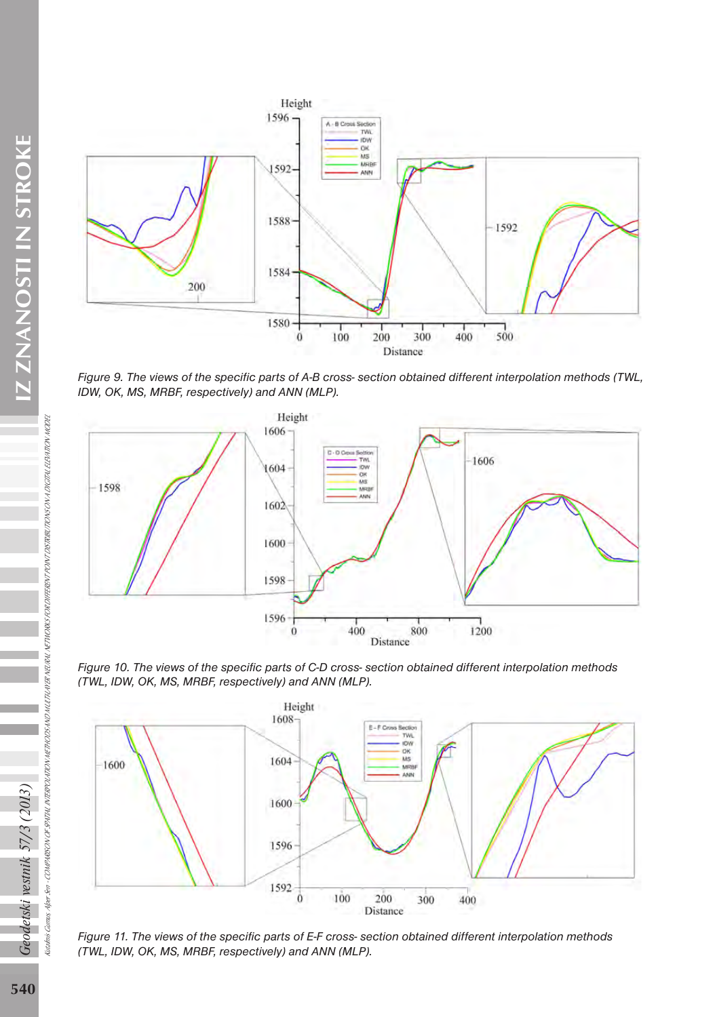

*Figure 9. The views of the specific parts of A-B cross- section obtained different interpolation methods (TWL, IDW, OK, MS, MRBF, respectively) and ANN (MLP).*



*Figure 10. The views of the specific parts of C-D cross- section obtained different interpolation methods (TWL, IDW, OK, MS, MRBF, respectively) and ANN (MLP).*



*Figure 11. The views of the specific parts of E-F cross- section obtained different interpolation methods (TWL, IDW, OK, MS, MRBF, respectively) and ANN (MLP).*

Geodetski vestnik 57/3 (2013)

Kutalmis Gumus, Alper Sen -

COMPARISON OF SPATIAL INTERPOLATION METHODS AND MULTI-LAYER NEURAL NETWORKS FOR DIFFERENT POINT DISTRIBUTIONS ON A DIGITAL ELEVATION MODEL

laadais Gamas Aper Ser - COMPARSON OF SPATAL INTERPOLATION METTHOUS AR NEVAL NETWORK FOR DIFFERENT PONT DISTRIKT TOCTAL ELEM TON MODEL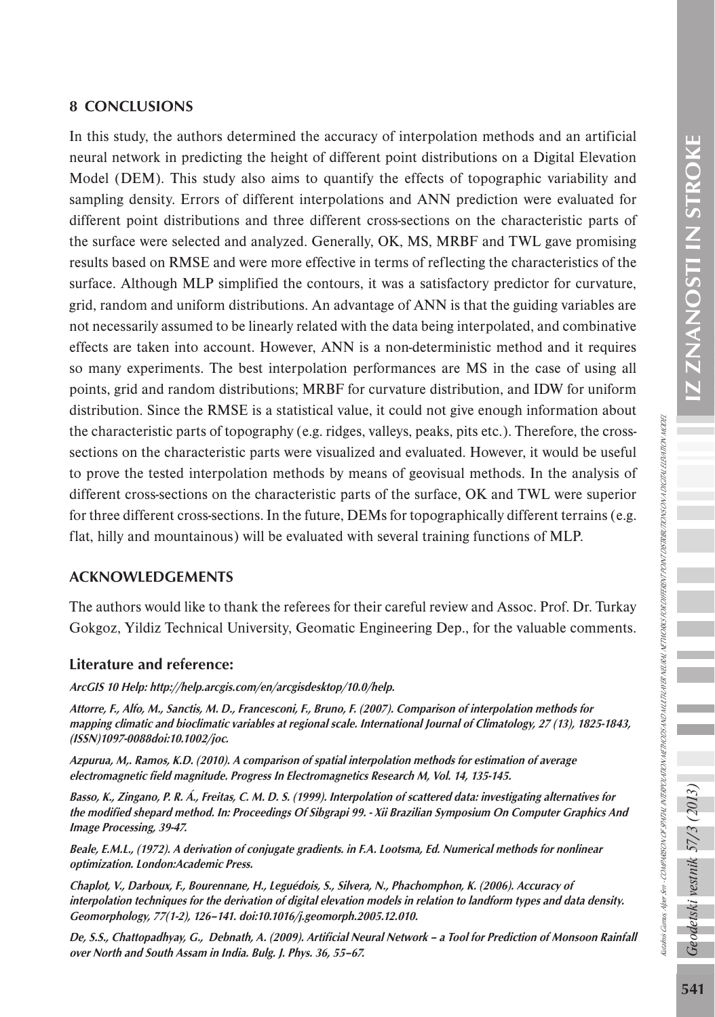## 8 CONCLUSIONS

In this study, the authors determined the accuracy of interpolation methods and an artificial neural network in predicting the height of different point distributions on a Digital Elevation Model (DEM). This study also aims to quantify the effects of topographic variability and sampling density. Errors of different interpolations and ANN prediction were evaluated for different point distributions and three different cross-sections on the characteristic parts of the surface were selected and analyzed. Generally, OK, MS, MRBF and TWL gave promising results based on RMSE and were more effective in terms of reflecting the characteristics of the surface. Although MLP simplified the contours, it was a satisfactory predictor for curvature, grid, random and uniform distributions. An advantage of ANN is that the guiding variables are not necessarily assumed to be linearly related with the data being interpolated, and combinative effects are taken into account. However, ANN is a non-deterministic method and it requires so many experiments. The best interpolation performances are MS in the case of using all points, grid and random distributions; MRBF for curvature distribution, and IDW for uniform distribution. Since the RMSE is a statistical value, it could not give enough information about the characteristic parts of topography (e.g. ridges, valleys, peaks, pits etc.). Therefore, the crosssections on the characteristic parts were visualized and evaluated. However, it would be useful to prove the tested interpolation methods by means of geovisual methods. In the analysis of different cross-sections on the characteristic parts of the surface, OK and TWL were superior for three different cross-sections. In the future, DEMs for topographically different terrains (e.g. flat, hilly and mountainous) will be evaluated with several training functions of MLP.

### ACKNOWLEDGEMENTS

The authors would like to thank the referees for their careful review and Assoc. Prof. Dr. Turkay Gokgoz, Yildiz Technical University, Geomatic Engineering Dep., for the valuable comments.

### Literature and reference:

ArcGIS 10 Help: <http://help.arcgis.com/en/arcgisdesktop/10.0/help>.

Attorre, F., Alfo, M., Sanctis, M. D., Francesconi, F., Bruno, F. (2007). Comparison of interpolation methods for mapping climatic and bioclimatic variables at regional scale. International Journal of Climatology, 27 (13), 1825-1843, (ISSN)1097-0088doi:10.1002/joc.

Azpurua, M,. Ramos, K.D. (2010). A comparison of spatial interpolation methods for estimation of average electromagnetic field magnitude. Progress In Electromagnetics Research M, Vol. 14, 135-145.

Basso, K., Zingano, P. R. Á., Freitas, C. M. D. S. (1999). Interpolation of scattered data: investigating alternatives for the modified shepard method. In: Proceedings Of Sibgrapi 99. - Xii Brazilian Symposium On Computer Graphics And Image Processing, 39-47.

Beale, E.M.L., (1972). A derivation of conjugate gradients. in F.A. Lootsma, Ed. Numerical methods for nonlinear optimization. London:Academic Press.

Chaplot, V., Darboux, F., Bourennane, H., Leguédois, S., Silvera, N., Phachomphon, K. (2006). Accuracy of interpolation techniques for the derivation of digital elevation models in relation to landform types and data density. Geomorphology, 77(1-2), 126–141. doi:10.1016/j.geomorph.2005.12.010.

De, S.S., Chattopadhyay, G., Debnath, A. (2009). Artificial Neural Network – a Tool for Prediction of Monsoon Rainfall over North and South Assam in India. Bulg. J. Phys. 36, 55–67.

odetski vestnik 57/3 (

Kutalmis Gumus, Alper Sen - COMPARISON OF SPATIAL INTERPOLATION METHODS AND MULTI-LAYER NETWORKS FOR DIFFERENT PONT DISTRIBUTIONS ON A DIGITAL ELEVATION NODEL

iadnis Gunus, Aleer Sen - COMPHISON OF SPATHL NTBROLATON METHODS AND MUTTLAVER NA NETWORKS OR DIFFERENT PONT DISTRIBUT TONS ON A DETEN ELEATION .

**WODE**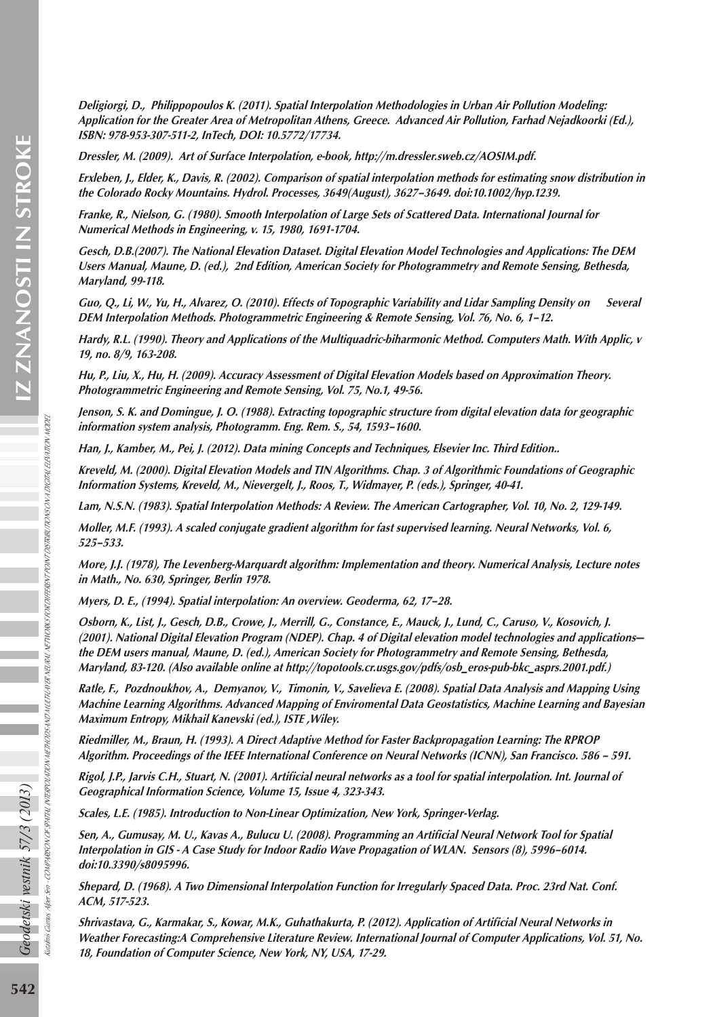Deligiorgi, D., Philippopoulos K. (2011). Spatial Interpolation Methodologies in Urban Air Pollution Modeling: Application for the Greater Area of Metropolitan Athens, Greece. Advanced Air Pollution, Farhad Nejadkoorki (Ed.), ISBN: 978-953-307-511-2, InTech, DOI: 10.5772/17734.

Dressler, M. (2009). Art of Surface Interpolation, e-book, <http://m.dressler.sweb.cz/AOSIM.pdf>.

Erxleben, J., Elder, K., Davis, R. (2002). Comparison of spatial interpolation methods for estimating snow distribution in the Colorado Rocky Mountains. Hydrol. Processes, 3649(August), 3627–3649. doi:10.1002/hyp.1239.

Franke, R., Nielson, G. (1980). Smooth Interpolation of Large Sets of Scattered Data. International Journal for Numerical Methods in Engineering, v. 15, 1980, 1691-1704.

Gesch, D.B.(2007). The National Elevation Dataset. Digital Elevation Model Technologies and Applications: The DEM Users Manual, Maune, D. (ed.), 2nd Edition, American Society for Photogrammetry and Remote Sensing, Bethesda, Maryland, 99-118.

Guo, Q., Li, W., Yu, H., Alvarez, O. (2010). Effects of Topographic Variability and Lidar Sampling Density on Several DEM Interpolation Methods. Photogrammetric Engineering & Remote Sensing, Vol. 76, No. 6, 1–12.

Hardy, R.L. (1990). Theory and Applications of the Multiquadric-biharmonic Method. Computers Math. With Applic, v 19, no. 8/9, 163-208.

Hu, P., Liu, X., Hu, H. (2009). Accuracy Assessment of Digital Elevation Models based on Approximation Theory. Photogrammetric Engineering and Remote Sensing, Vol. 75, No.1, 49-56.

Jenson, S. K. and Domingue, J. O. (1988). Extracting topographic structure from digital elevation data for geographic information system analysis, Photogramm. Eng. Rem. S., 54, 1593–1600.

Han, J., Kamber, M., Pei, J. (2012). Data mining Concepts and Techniques, Elsevier Inc. Third Edition..

Kreveld, M. (2000). Digital Elevation Models and TIN Algorithms. Chap. 3 of Algorithmic Foundations of Geographic Information Systems, Kreveld, M., Nievergelt, J., Roos, T., Widmayer, P. (eds.), Springer, 40-41.

Lam, N.S.N. (1983). Spatial Interpolation Methods: A Review. The American Cartographer, Vol. 10, No. 2, 129-149.

Moller, M.F. (1993). A scaled conjugate gradient algorithm for fast supervised learning. Neural Networks, Vol. 6, 525–533.

More, J.J. (1978), The Levenberg-Marquardt algorithm: Implementation and theory. Numerical Analysis, Lecture notes in Math., No. 630, Springer, Berlin 1978.

Myers, D. E., (1994). Spatial interpolation: An overview. Geoderma, 62, 17–28.

Osborn, K., List, J., Gesch, D.B., Crowe, J., Merrill, G., Constance, E., Mauck, J., Lund, C., Caruso, V., Kosovich, J. (2001). National Digital Elevation Program (NDEP). Chap. 4 of Digital elevation model technologies and applications the DEM users manual, Maune, D. (ed.), American Society for Photogrammetry and Remote Sensing, Bethesda, Maryland, 83-120. (Also available online at [http://topotools.cr.usgs.gov/pdfs/osb\\_eros-pub-bkc\\_asprs.2001.pdf](http://topotools.cr.usgs.gov/pdfs/osb_eros-pub-bkc_asprs.2001.pdf).)

Ratle, F., Pozdnoukhov, A., Demyanov, V., Timonin, V., Savelieva E. (2008). Spatial Data Analysis and Mapping Using Machine Learning Algorithms. Advanced Mapping of Enviromental Data Geostatistics, Machine Learning and Bayesian Maximum Entropy, Mikhail Kanevski (ed.), ISTE ,Wiley.

Riedmiller, M., Braun, H. (1993). A Direct Adaptive Method for Faster Backpropagation Learning: The RPROP Algorithm. Proceedings of the IEEE International Conference on Neural Networks (ICNN), San Francisco. 586 – 591.

Rigol, J.P., Jarvis C.H., Stuart, N. (2001). Artificial neural networks as a tool for spatial interpolation. Int. Journal of Geographical Information Science, Volume 15, Issue 4, 323-343.

Scales, L.E. (1985). Introduction to Non-Linear Optimization, New York, Springer-Verlag.

Sen, A., Gumusay, M. U., Kavas A., Bulucu U. (2008). Programming an Artificial Neural Network Tool for Spatial Interpolation in GIS - A Case Study for Indoor Radio Wave Propagation of WLAN. Sensors (8), 5996–6014. doi:10.3390/s8095996.

Shepard, D. (1968). A Two Dimensional Interpolation Function for Irregularly Spaced Data. Proc. 23rd Nat. Conf. ACM, 517-523.

Shrivastava, G., Karmakar, S., Kowar, M.K., Guhathakurta, P. (2012). Application of Artificial Neural Networks in Weather Forecasting:A Comprehensive Literature Review. International Journal of Computer Applications, Vol. 51, No. 18, Foundation of Computer Science, New York, NY, USA, 17-29.

Kutalmis Gumus, Alper Sen -

COMPARISON OF SPATIAL INTERPOLATION METHODS AND MULTI-LAYER NEURAL NETWORKS FOR DIFFERENT POINT DISTRIBUTIONS ON A DIGITAL ELEVATION MODEL

SPATHL INTERPOLATION NETHODS ANO MULTILANER NEURAL NETWORKS FOR DIFFERENT POINT DISTRIBUTIONS ON A DISTITUL BENATION NODBE